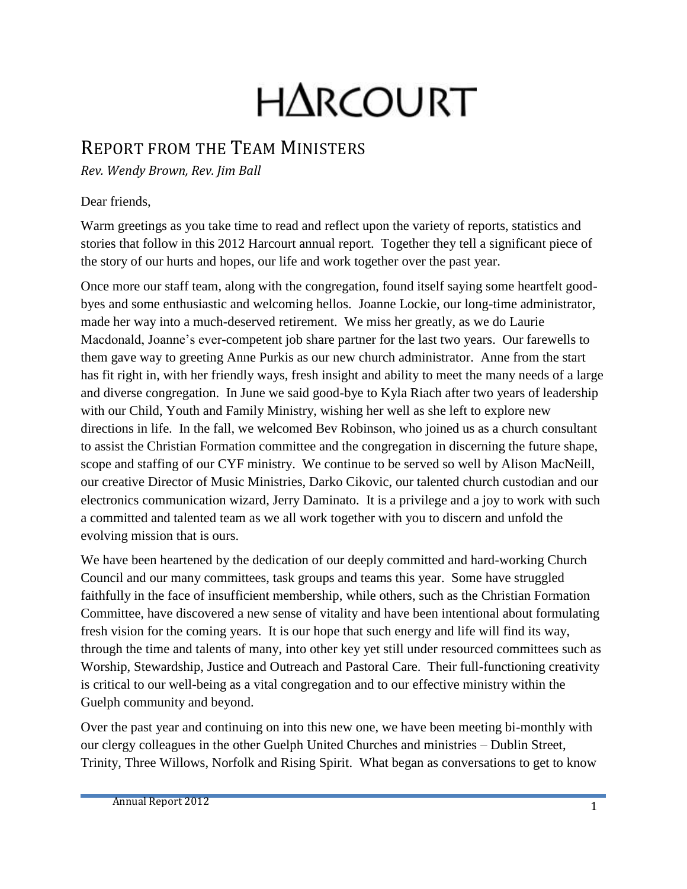# H∆RCOURT

### REPORT FROM THE TEAM MINISTERS

*Rev. Wendy Brown, Rev. Jim Ball* 

#### Dear friends,

Warm greetings as you take time to read and reflect upon the variety of reports, statistics and stories that follow in this 2012 Harcourt annual report. Together they tell a significant piece of the story of our hurts and hopes, our life and work together over the past year.

Once more our staff team, along with the congregation, found itself saying some heartfelt goodbyes and some enthusiastic and welcoming hellos. Joanne Lockie, our long-time administrator, made her way into a much-deserved retirement. We miss her greatly, as we do Laurie Macdonald, Joanne's ever-competent job share partner for the last two years. Our farewells to them gave way to greeting Anne Purkis as our new church administrator. Anne from the start has fit right in, with her friendly ways, fresh insight and ability to meet the many needs of a large and diverse congregation. In June we said good-bye to Kyla Riach after two years of leadership with our Child, Youth and Family Ministry, wishing her well as she left to explore new directions in life. In the fall, we welcomed Bev Robinson, who joined us as a church consultant to assist the Christian Formation committee and the congregation in discerning the future shape, scope and staffing of our CYF ministry. We continue to be served so well by Alison MacNeill, our creative Director of Music Ministries, Darko Cikovic, our talented church custodian and our electronics communication wizard, Jerry Daminato. It is a privilege and a joy to work with such a committed and talented team as we all work together with you to discern and unfold the evolving mission that is ours.

We have been heartened by the dedication of our deeply committed and hard-working Church Council and our many committees, task groups and teams this year. Some have struggled faithfully in the face of insufficient membership, while others, such as the Christian Formation Committee, have discovered a new sense of vitality and have been intentional about formulating fresh vision for the coming years. It is our hope that such energy and life will find its way, through the time and talents of many, into other key yet still under resourced committees such as Worship, Stewardship, Justice and Outreach and Pastoral Care. Their full-functioning creativity is critical to our well-being as a vital congregation and to our effective ministry within the Guelph community and beyond.

Over the past year and continuing on into this new one, we have been meeting bi-monthly with our clergy colleagues in the other Guelph United Churches and ministries – Dublin Street, Trinity, Three Willows, Norfolk and Rising Spirit. What began as conversations to get to know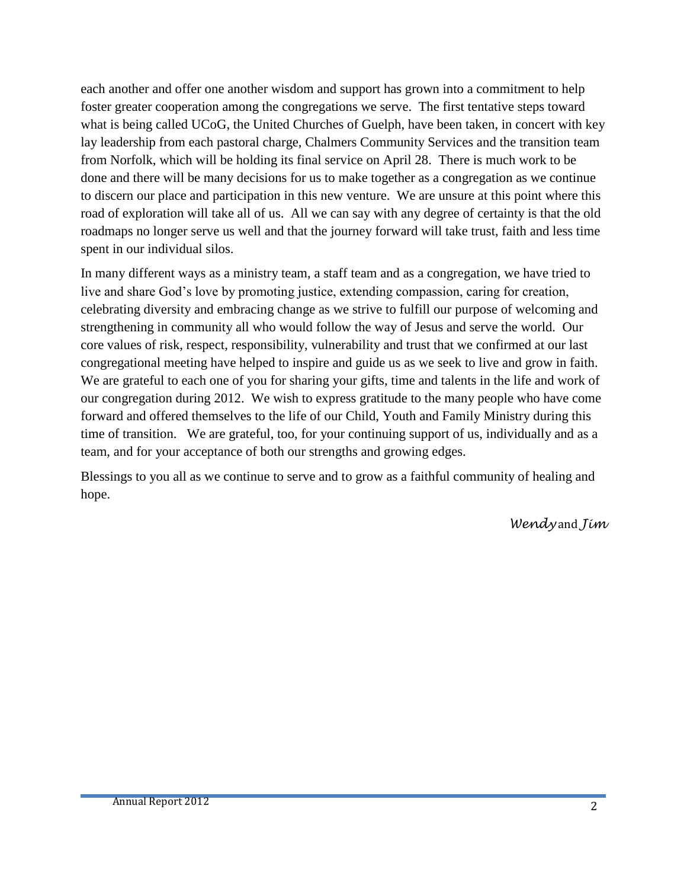each another and offer one another wisdom and support has grown into a commitment to help foster greater cooperation among the congregations we serve. The first tentative steps toward what is being called UCoG, the United Churches of Guelph, have been taken, in concert with key lay leadership from each pastoral charge, Chalmers Community Services and the transition team from Norfolk, which will be holding its final service on April 28. There is much work to be done and there will be many decisions for us to make together as a congregation as we continue to discern our place and participation in this new venture. We are unsure at this point where this road of exploration will take all of us. All we can say with any degree of certainty is that the old roadmaps no longer serve us well and that the journey forward will take trust, faith and less time spent in our individual silos.

In many different ways as a ministry team, a staff team and as a congregation, we have tried to live and share God's love by promoting justice, extending compassion, caring for creation, celebrating diversity and embracing change as we strive to fulfill our purpose of welcoming and strengthening in community all who would follow the way of Jesus and serve the world. Our core values of risk, respect, responsibility, vulnerability and trust that we confirmed at our last congregational meeting have helped to inspire and guide us as we seek to live and grow in faith. We are grateful to each one of you for sharing your gifts, time and talents in the life and work of our congregation during 2012. We wish to express gratitude to the many people who have come forward and offered themselves to the life of our Child, Youth and Family Ministry during this time of transition. We are grateful, too, for your continuing support of us, individually and as a team, and for your acceptance of both our strengths and growing edges.

Blessings to you all as we continue to serve and to grow as a faithful community of healing and hope.

*Wendy* and *Jim*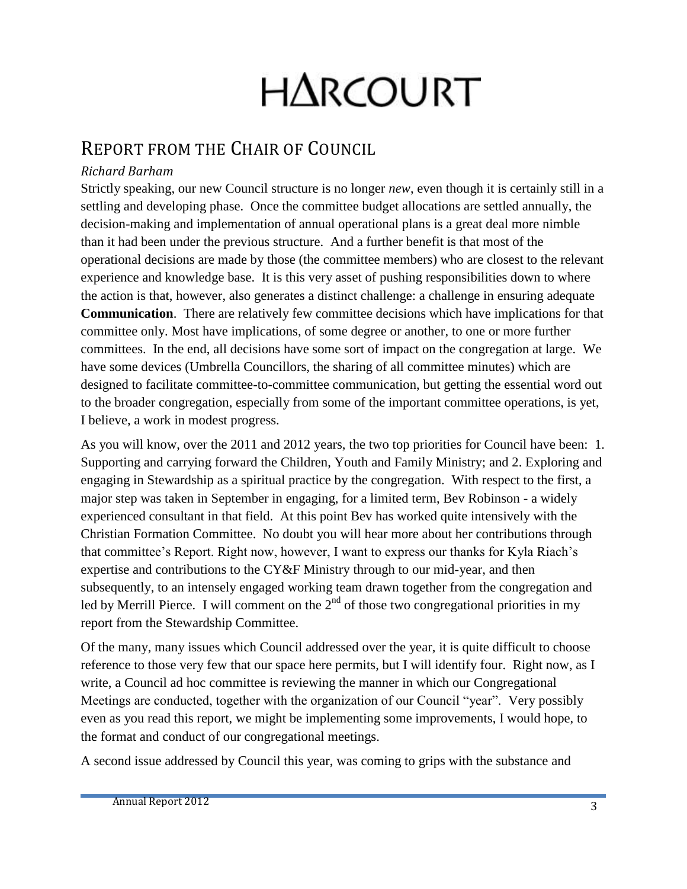# H∆RCOURT

## REPORT FROM THE CHAIR OF COUNCIL

#### *Richard Barham*

Strictly speaking, our new Council structure is no longer *new*, even though it is certainly still in a settling and developing phase. Once the committee budget allocations are settled annually, the decision-making and implementation of annual operational plans is a great deal more nimble than it had been under the previous structure. And a further benefit is that most of the operational decisions are made by those (the committee members) who are closest to the relevant experience and knowledge base. It is this very asset of pushing responsibilities down to where the action is that, however, also generates a distinct challenge: a challenge in ensuring adequate **Communication**. There are relatively few committee decisions which have implications for that committee only. Most have implications, of some degree or another, to one or more further committees. In the end, all decisions have some sort of impact on the congregation at large. We have some devices (Umbrella Councillors, the sharing of all committee minutes) which are designed to facilitate committee-to-committee communication, but getting the essential word out to the broader congregation, especially from some of the important committee operations, is yet, I believe, a work in modest progress.

As you will know, over the 2011 and 2012 years, the two top priorities for Council have been: 1. Supporting and carrying forward the Children, Youth and Family Ministry; and 2. Exploring and engaging in Stewardship as a spiritual practice by the congregation. With respect to the first, a major step was taken in September in engaging, for a limited term, Bev Robinson - a widely experienced consultant in that field. At this point Bev has worked quite intensively with the Christian Formation Committee. No doubt you will hear more about her contributions through that committee's Report. Right now, however, I want to express our thanks for Kyla Riach's expertise and contributions to the CY&F Ministry through to our mid-year, and then subsequently, to an intensely engaged working team drawn together from the congregation and led by Merrill Pierce. I will comment on the  $2<sup>nd</sup>$  of those two congregational priorities in my report from the Stewardship Committee.

Of the many, many issues which Council addressed over the year, it is quite difficult to choose reference to those very few that our space here permits, but I will identify four. Right now, as I write, a Council ad hoc committee is reviewing the manner in which our Congregational Meetings are conducted, together with the organization of our Council "year". Very possibly even as you read this report, we might be implementing some improvements, I would hope, to the format and conduct of our congregational meetings.

A second issue addressed by Council this year, was coming to grips with the substance and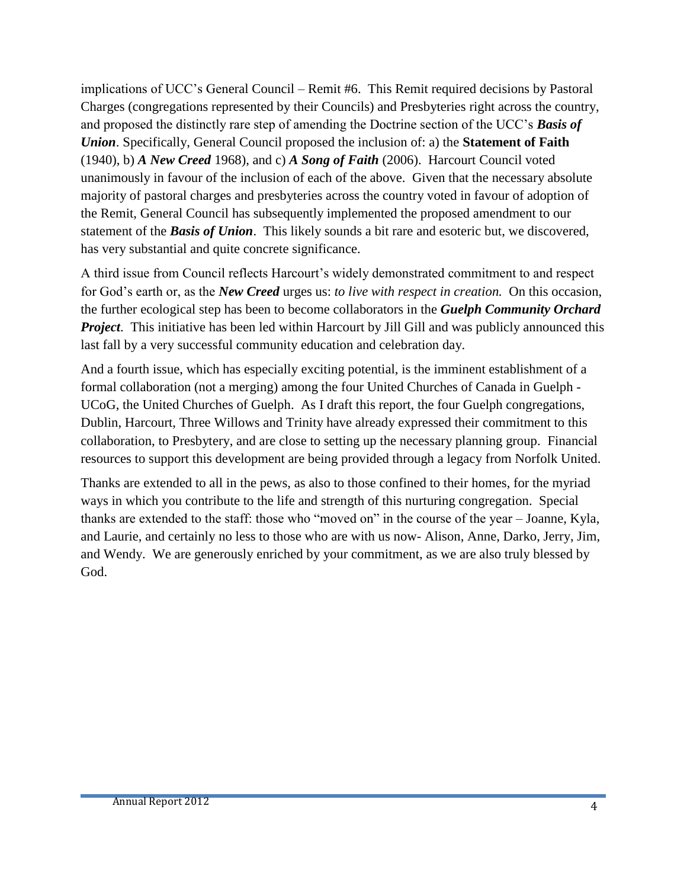implications of UCC's General Council – Remit #6. This Remit required decisions by Pastoral Charges (congregations represented by their Councils) and Presbyteries right across the country, and proposed the distinctly rare step of amending the Doctrine section of the UCC's *Basis of Union*. Specifically, General Council proposed the inclusion of: a) the **Statement of Faith** (1940), b) *A New Creed* 1968), and c) *A Song of Faith* (2006). Harcourt Council voted unanimously in favour of the inclusion of each of the above. Given that the necessary absolute majority of pastoral charges and presbyteries across the country voted in favour of adoption of the Remit, General Council has subsequently implemented the proposed amendment to our statement of the *Basis of Union*. This likely sounds a bit rare and esoteric but, we discovered, has very substantial and quite concrete significance.

A third issue from Council reflects Harcourt's widely demonstrated commitment to and respect for God's earth or, as the *New Creed* urges us: *to live with respect in creation.* On this occasion, the further ecological step has been to become collaborators in the *Guelph Community Orchard Project*. This initiative has been led within Harcourt by Jill Gill and was publicly announced this last fall by a very successful community education and celebration day.

And a fourth issue, which has especially exciting potential, is the imminent establishment of a formal collaboration (not a merging) among the four United Churches of Canada in Guelph - UCoG, the United Churches of Guelph. As I draft this report, the four Guelph congregations, Dublin, Harcourt, Three Willows and Trinity have already expressed their commitment to this collaboration, to Presbytery, and are close to setting up the necessary planning group. Financial resources to support this development are being provided through a legacy from Norfolk United.

Thanks are extended to all in the pews, as also to those confined to their homes, for the myriad ways in which you contribute to the life and strength of this nurturing congregation. Special thanks are extended to the staff: those who "moved on" in the course of the year – Joanne, Kyla, and Laurie, and certainly no less to those who are with us now- Alison, Anne, Darko, Jerry, Jim, and Wendy. We are generously enriched by your commitment, as we are also truly blessed by God.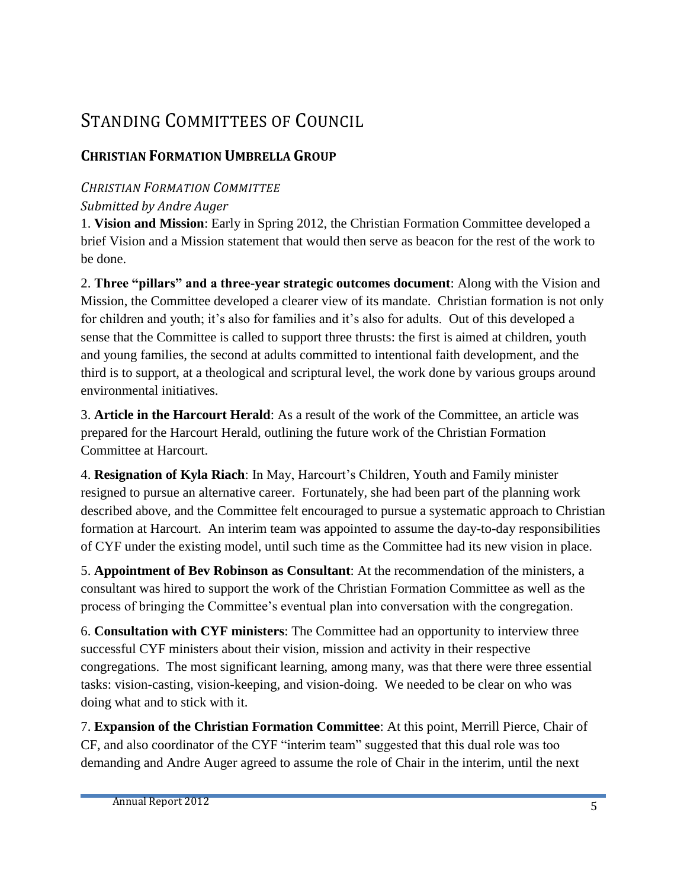# STANDING COMMITTEES OF COUNCIL

#### **CHRISTIAN FORMATION UMBRELLA GROUP**

#### *CHRISTIAN FORMATION COMMITTEE*

#### *Submitted by Andre Auger*

1. **Vision and Mission**: Early in Spring 2012, the Christian Formation Committee developed a brief Vision and a Mission statement that would then serve as beacon for the rest of the work to be done.

2. **Three "pillars" and a three-year strategic outcomes document**: Along with the Vision and Mission, the Committee developed a clearer view of its mandate. Christian formation is not only for children and youth; it's also for families and it's also for adults. Out of this developed a sense that the Committee is called to support three thrusts: the first is aimed at children, youth and young families, the second at adults committed to intentional faith development, and the third is to support, at a theological and scriptural level, the work done by various groups around environmental initiatives.

3. **Article in the Harcourt Herald**: As a result of the work of the Committee, an article was prepared for the Harcourt Herald, outlining the future work of the Christian Formation Committee at Harcourt.

4. **Resignation of Kyla Riach**: In May, Harcourt's Children, Youth and Family minister resigned to pursue an alternative career. Fortunately, she had been part of the planning work described above, and the Committee felt encouraged to pursue a systematic approach to Christian formation at Harcourt. An interim team was appointed to assume the day-to-day responsibilities of CYF under the existing model, until such time as the Committee had its new vision in place.

5. **Appointment of Bev Robinson as Consultant**: At the recommendation of the ministers, a consultant was hired to support the work of the Christian Formation Committee as well as the process of bringing the Committee's eventual plan into conversation with the congregation.

6. **Consultation with CYF ministers**: The Committee had an opportunity to interview three successful CYF ministers about their vision, mission and activity in their respective congregations. The most significant learning, among many, was that there were three essential tasks: vision-casting, vision-keeping, and vision-doing. We needed to be clear on who was doing what and to stick with it.

7. **Expansion of the Christian Formation Committee**: At this point, Merrill Pierce, Chair of CF, and also coordinator of the CYF "interim team" suggested that this dual role was too demanding and Andre Auger agreed to assume the role of Chair in the interim, until the next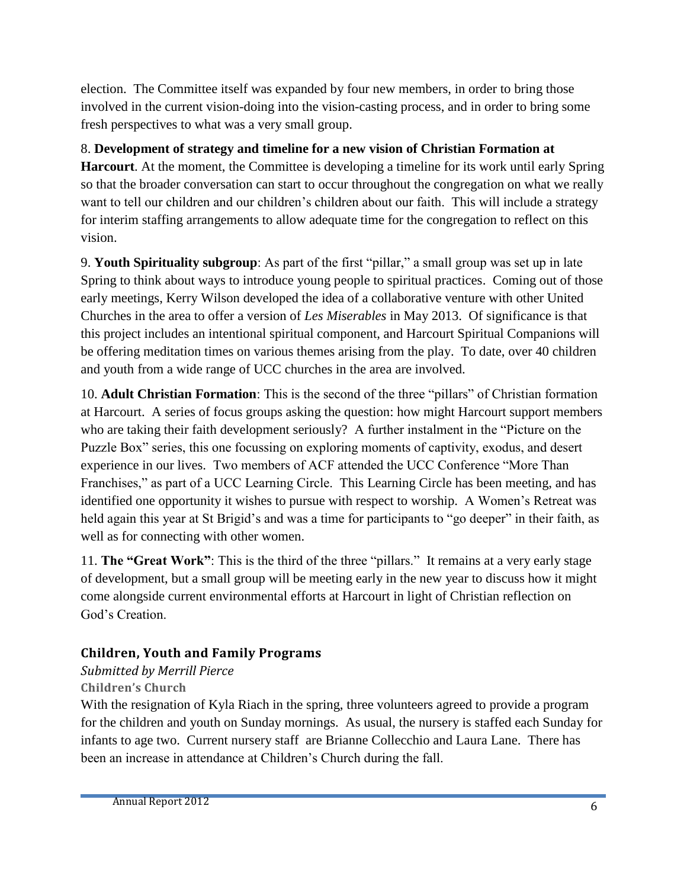election. The Committee itself was expanded by four new members, in order to bring those involved in the current vision-doing into the vision-casting process, and in order to bring some fresh perspectives to what was a very small group.

#### 8. **Development of strategy and timeline for a new vision of Christian Formation at**

**Harcourt**. At the moment, the Committee is developing a timeline for its work until early Spring so that the broader conversation can start to occur throughout the congregation on what we really want to tell our children and our children's children about our faith. This will include a strategy for interim staffing arrangements to allow adequate time for the congregation to reflect on this vision.

9. **Youth Spirituality subgroup**: As part of the first "pillar," a small group was set up in late Spring to think about ways to introduce young people to spiritual practices. Coming out of those early meetings, Kerry Wilson developed the idea of a collaborative venture with other United Churches in the area to offer a version of *Les Miserables* in May 2013. Of significance is that this project includes an intentional spiritual component, and Harcourt Spiritual Companions will be offering meditation times on various themes arising from the play. To date, over 40 children and youth from a wide range of UCC churches in the area are involved.

10. **Adult Christian Formation**: This is the second of the three "pillars" of Christian formation at Harcourt. A series of focus groups asking the question: how might Harcourt support members who are taking their faith development seriously? A further instalment in the "Picture on the Puzzle Box" series, this one focussing on exploring moments of captivity, exodus, and desert experience in our lives. Two members of ACF attended the UCC Conference "More Than Franchises," as part of a UCC Learning Circle. This Learning Circle has been meeting, and has identified one opportunity it wishes to pursue with respect to worship. A Women's Retreat was held again this year at St Brigid's and was a time for participants to "go deeper" in their faith, as well as for connecting with other women.

11. **The "Great Work"**: This is the third of the three "pillars." It remains at a very early stage of development, but a small group will be meeting early in the new year to discuss how it might come alongside current environmental efforts at Harcourt in light of Christian reflection on God's Creation.

#### **Children, Youth and Family Programs**

#### *Submitted by Merrill Pierce*

#### **Children's Church**

With the resignation of Kyla Riach in the spring, three volunteers agreed to provide a program for the children and youth on Sunday mornings. As usual, the nursery is staffed each Sunday for infants to age two. Current nursery staff are Brianne Collecchio and Laura Lane. There has been an increase in attendance at Children's Church during the fall.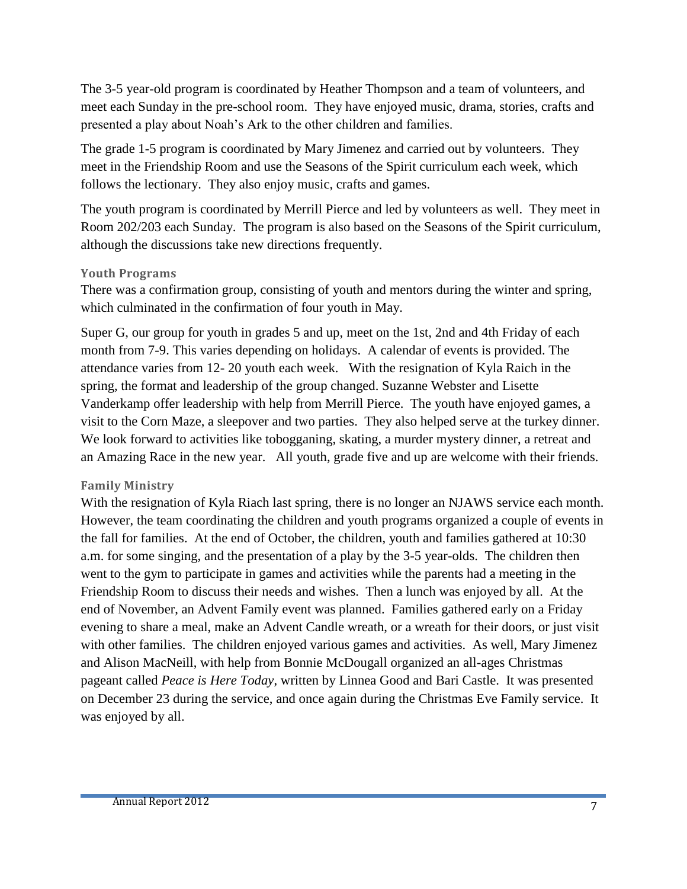The 3-5 year-old program is coordinated by Heather Thompson and a team of volunteers, and meet each Sunday in the pre-school room. They have enjoyed music, drama, stories, crafts and presented a play about Noah's Ark to the other children and families.

The grade 1-5 program is coordinated by Mary Jimenez and carried out by volunteers. They meet in the Friendship Room and use the Seasons of the Spirit curriculum each week, which follows the lectionary. They also enjoy music, crafts and games.

The youth program is coordinated by Merrill Pierce and led by volunteers as well. They meet in Room 202/203 each Sunday. The program is also based on the Seasons of the Spirit curriculum, although the discussions take new directions frequently.

#### **Youth Programs**

There was a confirmation group, consisting of youth and mentors during the winter and spring, which culminated in the confirmation of four youth in May.

Super G, our group for youth in grades 5 and up, meet on the 1st, 2nd and 4th Friday of each month from 7-9. This varies depending on holidays. A calendar of events is provided. The attendance varies from 12- 20 youth each week. With the resignation of Kyla Raich in the spring, the format and leadership of the group changed. Suzanne Webster and Lisette Vanderkamp offer leadership with help from Merrill Pierce. The youth have enjoyed games, a visit to the Corn Maze, a sleepover and two parties. They also helped serve at the turkey dinner. We look forward to activities like tobogganing, skating, a murder mystery dinner, a retreat and an Amazing Race in the new year. All youth, grade five and up are welcome with their friends.

#### **Family Ministry**

With the resignation of Kyla Riach last spring, there is no longer an NJAWS service each month. However, the team coordinating the children and youth programs organized a couple of events in the fall for families. At the end of October, the children, youth and families gathered at 10:30 a.m. for some singing, and the presentation of a play by the 3-5 year-olds. The children then went to the gym to participate in games and activities while the parents had a meeting in the Friendship Room to discuss their needs and wishes. Then a lunch was enjoyed by all. At the end of November, an Advent Family event was planned. Families gathered early on a Friday evening to share a meal, make an Advent Candle wreath, or a wreath for their doors, or just visit with other families. The children enjoyed various games and activities. As well, Mary Jimenez and Alison MacNeill, with help from Bonnie McDougall organized an all-ages Christmas pageant called *Peace is Here Today*, written by Linnea Good and Bari Castle. It was presented on December 23 during the service, and once again during the Christmas Eve Family service. It was enjoyed by all.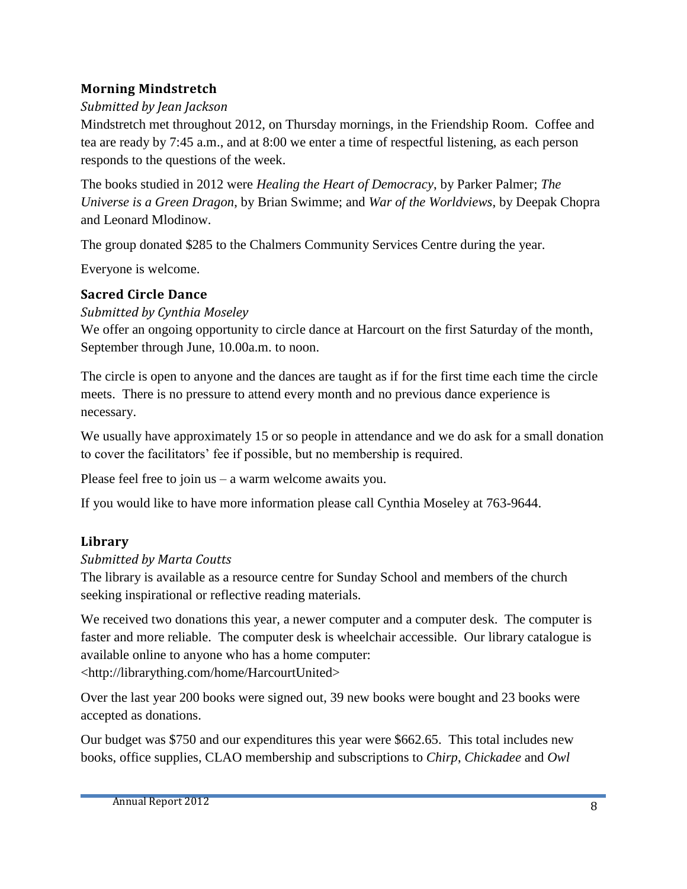#### **Morning Mindstretch**

#### *Submitted by Jean Jackson*

Mindstretch met throughout 2012, on Thursday mornings, in the Friendship Room. Coffee and tea are ready by 7:45 a.m., and at 8:00 we enter a time of respectful listening, as each person responds to the questions of the week.

The books studied in 2012 were *Healing the Heart of Democracy*, by Parker Palmer; *The Universe is a Green Dragon*, by Brian Swimme; and *War of the Worldviews*, by Deepak Chopra and Leonard Mlodinow.

The group donated \$285 to the Chalmers Community Services Centre during the year.

Everyone is welcome.

#### **Sacred Circle Dance**

*Submitted by Cynthia Moseley*

We offer an ongoing opportunity to circle dance at Harcourt on the first Saturday of the month, September through June, 10.00a.m. to noon.

The circle is open to anyone and the dances are taught as if for the first time each time the circle meets. There is no pressure to attend every month and no previous dance experience is necessary.

We usually have approximately 15 or so people in attendance and we do ask for a small donation to cover the facilitators' fee if possible, but no membership is required.

Please feel free to join us – a warm welcome awaits you.

If you would like to have more information please call Cynthia Moseley at 763-9644.

#### **Library**

#### *Submitted by Marta Coutts*

The library is available as a resource centre for Sunday School and members of the church seeking inspirational or reflective reading materials.

We received two donations this year, a newer computer and a computer desk. The computer is faster and more reliable. The computer desk is wheelchair accessible. Our library catalogue is available online to anyone who has a home computer:

[<http://librarything.com/home/HarcourtUnited>](http://librarything.com/home/HarcourtUnited)

Over the last year 200 books were signed out, 39 new books were bought and 23 books were accepted as donations.

Our budget was \$750 and our expenditures this year were \$662.65. This total includes new books, office supplies, CLAO membership and subscriptions to *Chirp*, *Chickadee* and *Owl*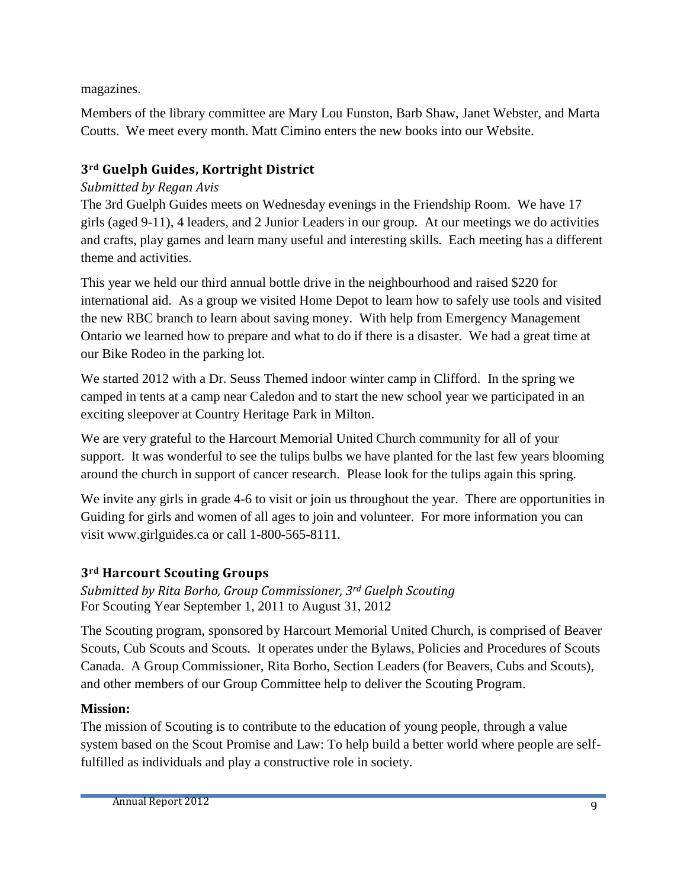magazines.

Members of the library committee are Mary Lou Funston, Barb Shaw, Janet Webster, and Marta Coutts. We meet every month. Matt Cimino enters the new books into our Website.

#### **3rd Guelph Guides, Kortright District**

#### *Submitted by Regan Avis*

The 3rd Guelph Guides meets on Wednesday evenings in the Friendship Room. We have 17 girls (aged 9-11), 4 leaders, and 2 Junior Leaders in our group. At our meetings we do activities and crafts, play games and learn many useful and interesting skills. Each meeting has a different theme and activities.

This year we held our third annual bottle drive in the neighbourhood and raised \$220 for international aid. As a group we visited Home Depot to learn how to safely use tools and visited the new RBC branch to learn about saving money. With help from Emergency Management Ontario we learned how to prepare and what to do if there is a disaster. We had a great time at our Bike Rodeo in the parking lot.

We started 2012 with a Dr. Seuss Themed indoor winter camp in Clifford. In the spring we camped in tents at a camp near Caledon and to start the new school year we participated in an exciting sleepover at Country Heritage Park in Milton.

We are very grateful to the Harcourt Memorial United Church community for all of your support. It was wonderful to see the tulips bulbs we have planted for the last few years blooming around the church in support of cancer research. Please look for the tulips again this spring.

We invite any girls in grade 4-6 to visit or join us throughout the year. There are opportunities in Guiding for girls and women of all ages to join and volunteer. For more information you can visit [www.girlguides.ca](http://www.girlguides.ca/) or call 1-800-565-8111.

#### **3rd Harcourt Scouting Groups**

*Submitted by Rita Borho, Group Commissioner, 3rd Guelph Scouting* For Scouting Year September 1, 2011 to August 31, 2012

The Scouting program, sponsored by Harcourt Memorial United Church, is comprised of Beaver Scouts, Cub Scouts and Scouts. It operates under the Bylaws, Policies and Procedures of Scouts Canada. A Group Commissioner, Rita Borho, Section Leaders (for Beavers, Cubs and Scouts), and other members of our Group Committee help to deliver the Scouting Program.

#### **Mission:**

The mission of Scouting is to contribute to the education of young people, through a value system based on the Scout Promise and Law: To help build a better world where people are selffulfilled as individuals and play a constructive role in society.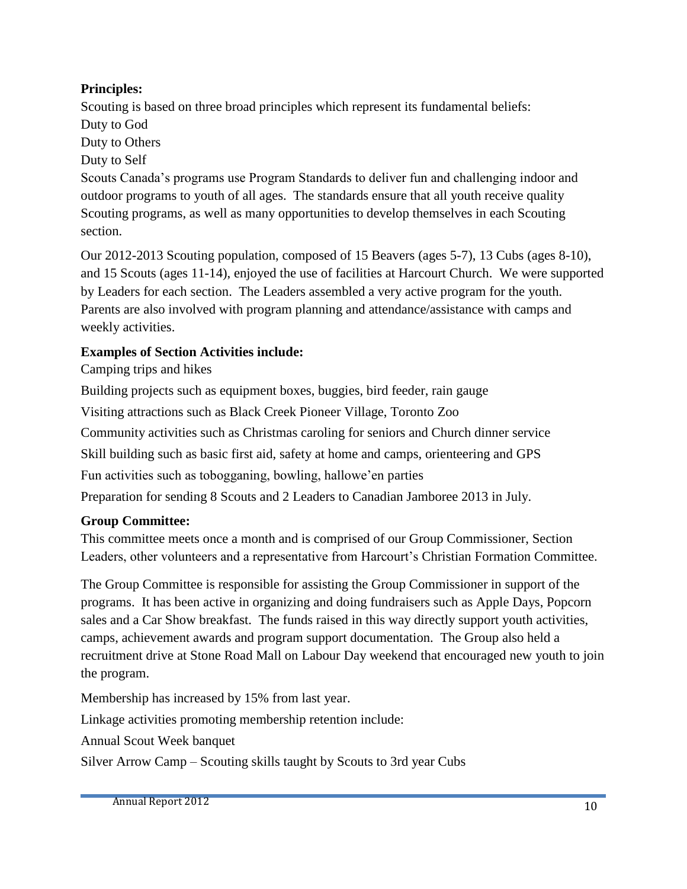#### **Principles:**

Scouting is based on three broad principles which represent its fundamental beliefs: Duty to God

Duty to Others

Duty to Self

Scouts Canada's programs use Program Standards to deliver fun and challenging indoor and outdoor programs to youth of all ages. The standards ensure that all youth receive quality Scouting programs, as well as many opportunities to develop themselves in each Scouting section.

Our 2012-2013 Scouting population, composed of 15 Beavers (ages 5-7), 13 Cubs (ages 8-10), and 15 Scouts (ages 11-14), enjoyed the use of facilities at Harcourt Church. We were supported by Leaders for each section. The Leaders assembled a very active program for the youth. Parents are also involved with program planning and attendance/assistance with camps and weekly activities.

#### **Examples of Section Activities include:**

Camping trips and hikes

Building projects such as equipment boxes, buggies, bird feeder, rain gauge

Visiting attractions such as Black Creek Pioneer Village, Toronto Zoo

Community activities such as Christmas caroling for seniors and Church dinner service

Skill building such as basic first aid, safety at home and camps, orienteering and GPS

Fun activities such as tobogganing, bowling, hallowe'en parties

Preparation for sending 8 Scouts and 2 Leaders to Canadian Jamboree 2013 in July.

#### **Group Committee:**

This committee meets once a month and is comprised of our Group Commissioner, Section Leaders, other volunteers and a representative from Harcourt's Christian Formation Committee.

The Group Committee is responsible for assisting the Group Commissioner in support of the programs. It has been active in organizing and doing fundraisers such as Apple Days, Popcorn sales and a Car Show breakfast. The funds raised in this way directly support youth activities, camps, achievement awards and program support documentation. The Group also held a recruitment drive at Stone Road Mall on Labour Day weekend that encouraged new youth to join the program.

Membership has increased by 15% from last year.

Linkage activities promoting membership retention include:

Annual Scout Week banquet

Silver Arrow Camp – Scouting skills taught by Scouts to 3rd year Cubs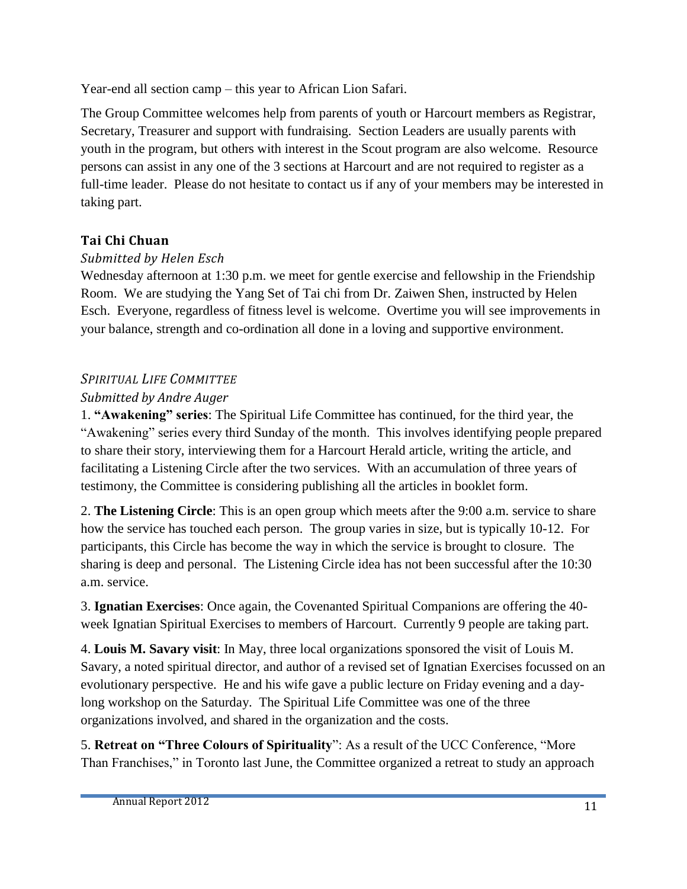Year-end all section camp – this year to African Lion Safari.

The Group Committee welcomes help from parents of youth or Harcourt members as Registrar, Secretary, Treasurer and support with fundraising. Section Leaders are usually parents with youth in the program, but others with interest in the Scout program are also welcome. Resource persons can assist in any one of the 3 sections at Harcourt and are not required to register as a full-time leader. Please do not hesitate to contact us if any of your members may be interested in taking part.

#### **Tai Chi Chuan**

#### *Submitted by Helen Esch*

Wednesday afternoon at 1:30 p.m. we meet for gentle exercise and fellowship in the Friendship Room. We are studying the Yang Set of Tai chi from Dr. Zaiwen Shen, instructed by Helen Esch. Everyone, regardless of fitness level is welcome. Overtime you will see improvements in your balance, strength and co-ordination all done in a loving and supportive environment.

#### *SPIRITUAL LIFE COMMITTEE*

#### *Submitted by Andre Auger*

1. **"Awakening" series**: The Spiritual Life Committee has continued, for the third year, the "Awakening" series every third Sunday of the month. This involves identifying people prepared to share their story, interviewing them for a Harcourt Herald article, writing the article, and facilitating a Listening Circle after the two services. With an accumulation of three years of testimony, the Committee is considering publishing all the articles in booklet form.

2. **The Listening Circle**: This is an open group which meets after the 9:00 a.m. service to share how the service has touched each person. The group varies in size, but is typically 10-12. For participants, this Circle has become the way in which the service is brought to closure. The sharing is deep and personal. The Listening Circle idea has not been successful after the 10:30 a.m. service.

3. **Ignatian Exercises**: Once again, the Covenanted Spiritual Companions are offering the 40 week Ignatian Spiritual Exercises to members of Harcourt. Currently 9 people are taking part.

4. **Louis M. Savary visit**: In May, three local organizations sponsored the visit of Louis M. Savary, a noted spiritual director, and author of a revised set of Ignatian Exercises focussed on an evolutionary perspective. He and his wife gave a public lecture on Friday evening and a daylong workshop on the Saturday. The Spiritual Life Committee was one of the three organizations involved, and shared in the organization and the costs.

5. **Retreat on "Three Colours of Spirituality**": As a result of the UCC Conference, "More Than Franchises," in Toronto last June, the Committee organized a retreat to study an approach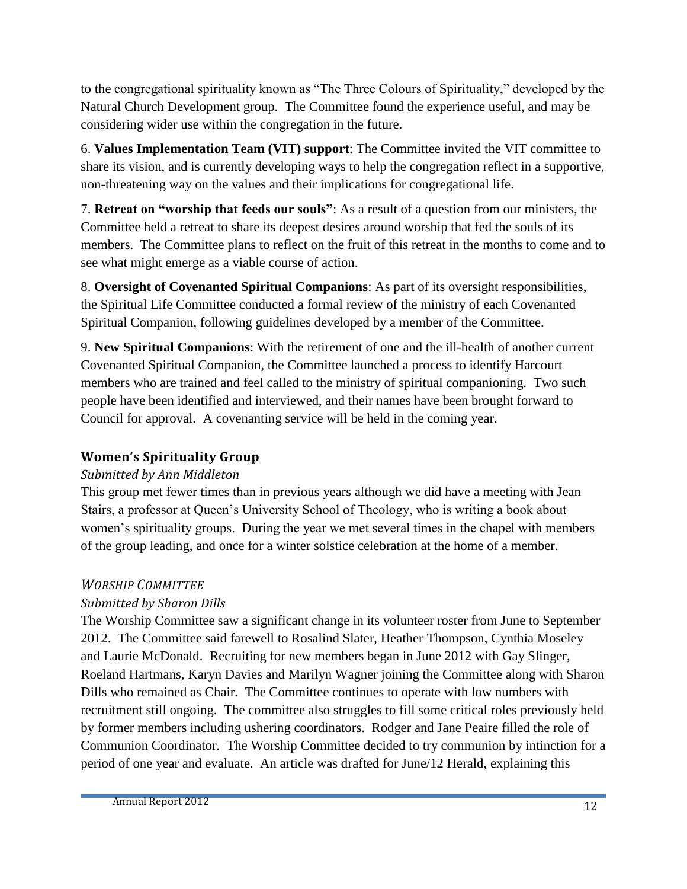to the congregational spirituality known as "The Three Colours of Spirituality," developed by the Natural Church Development group. The Committee found the experience useful, and may be considering wider use within the congregation in the future.

6. **Values Implementation Team (VIT) support**: The Committee invited the VIT committee to share its vision, and is currently developing ways to help the congregation reflect in a supportive, non-threatening way on the values and their implications for congregational life.

7. **Retreat on "worship that feeds our souls"**: As a result of a question from our ministers, the Committee held a retreat to share its deepest desires around worship that fed the souls of its members. The Committee plans to reflect on the fruit of this retreat in the months to come and to see what might emerge as a viable course of action.

8. **Oversight of Covenanted Spiritual Companions**: As part of its oversight responsibilities, the Spiritual Life Committee conducted a formal review of the ministry of each Covenanted Spiritual Companion, following guidelines developed by a member of the Committee.

9. **New Spiritual Companions**: With the retirement of one and the ill-health of another current Covenanted Spiritual Companion, the Committee launched a process to identify Harcourt members who are trained and feel called to the ministry of spiritual companioning. Two such people have been identified and interviewed, and their names have been brought forward to Council for approval. A covenanting service will be held in the coming year.

#### **Women's Spirituality Group**

#### *Submitted by Ann Middleton*

This group met fewer times than in previous years although we did have a meeting with Jean Stairs, a professor at Queen's University School of Theology, who is writing a book about women's spirituality groups. During the year we met several times in the chapel with members of the group leading, and once for a winter solstice celebration at the home of a member.

#### *WORSHIP COMMITTEE*

#### *Submitted by Sharon Dills*

The Worship Committee saw a significant change in its volunteer roster from June to September 2012. The Committee said farewell to Rosalind Slater, Heather Thompson, Cynthia Moseley and Laurie McDonald. Recruiting for new members began in June 2012 with Gay Slinger, Roeland Hartmans, Karyn Davies and Marilyn Wagner joining the Committee along with Sharon Dills who remained as Chair. The Committee continues to operate with low numbers with recruitment still ongoing. The committee also struggles to fill some critical roles previously held by former members including ushering coordinators. Rodger and Jane Peaire filled the role of Communion Coordinator. The Worship Committee decided to try communion by intinction for a period of one year and evaluate. An article was drafted for June/12 Herald, explaining this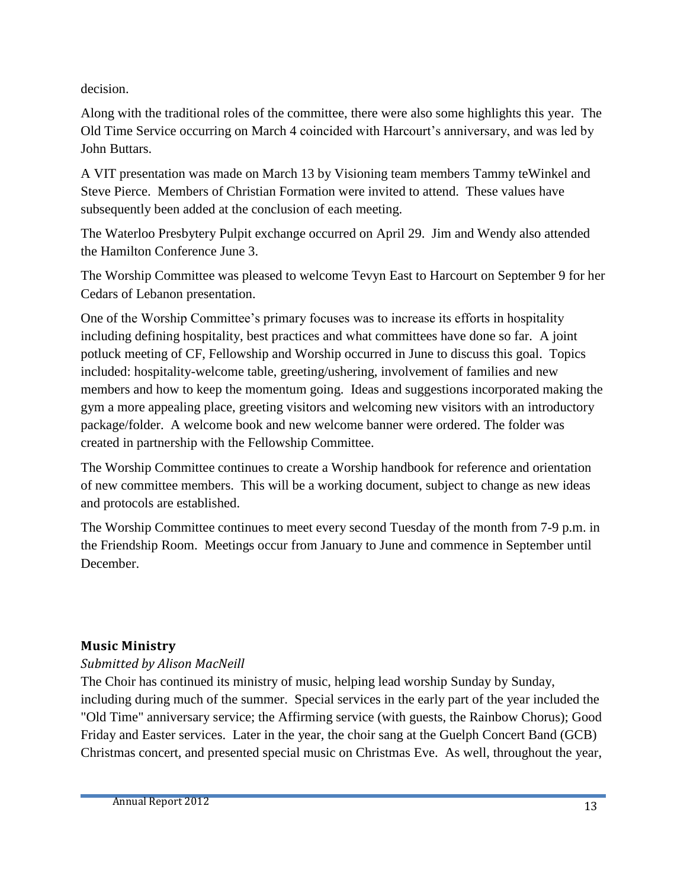decision.

Along with the traditional roles of the committee, there were also some highlights this year. The Old Time Service occurring on March 4 coincided with Harcourt's anniversary, and was led by John Buttars.

A VIT presentation was made on March 13 by Visioning team members Tammy teWinkel and Steve Pierce. Members of Christian Formation were invited to attend. These values have subsequently been added at the conclusion of each meeting.

The Waterloo Presbytery Pulpit exchange occurred on April 29. Jim and Wendy also attended the Hamilton Conference June 3.

The Worship Committee was pleased to welcome Tevyn East to Harcourt on September 9 for her Cedars of Lebanon presentation.

One of the Worship Committee's primary focuses was to increase its efforts in hospitality including defining hospitality, best practices and what committees have done so far. A joint potluck meeting of CF, Fellowship and Worship occurred in June to discuss this goal. Topics included: hospitality-welcome table, greeting/ushering, involvement of families and new members and how to keep the momentum going. Ideas and suggestions incorporated making the gym a more appealing place, greeting visitors and welcoming new visitors with an introductory package/folder. A welcome book and new welcome banner were ordered. The folder was created in partnership with the Fellowship Committee.

The Worship Committee continues to create a Worship handbook for reference and orientation of new committee members. This will be a working document, subject to change as new ideas and protocols are established.

The Worship Committee continues to meet every second Tuesday of the month from 7-9 p.m. in the Friendship Room. Meetings occur from January to June and commence in September until December.

#### **Music Ministry**

#### *Submitted by Alison MacNeill*

The Choir has continued its ministry of music, helping lead worship Sunday by Sunday, including during much of the summer. Special services in the early part of the year included the "Old Time" anniversary service; the Affirming service (with guests, the Rainbow Chorus); Good Friday and Easter services. Later in the year, the choir sang at the Guelph Concert Band (GCB) Christmas concert, and presented special music on Christmas Eve. As well, throughout the year,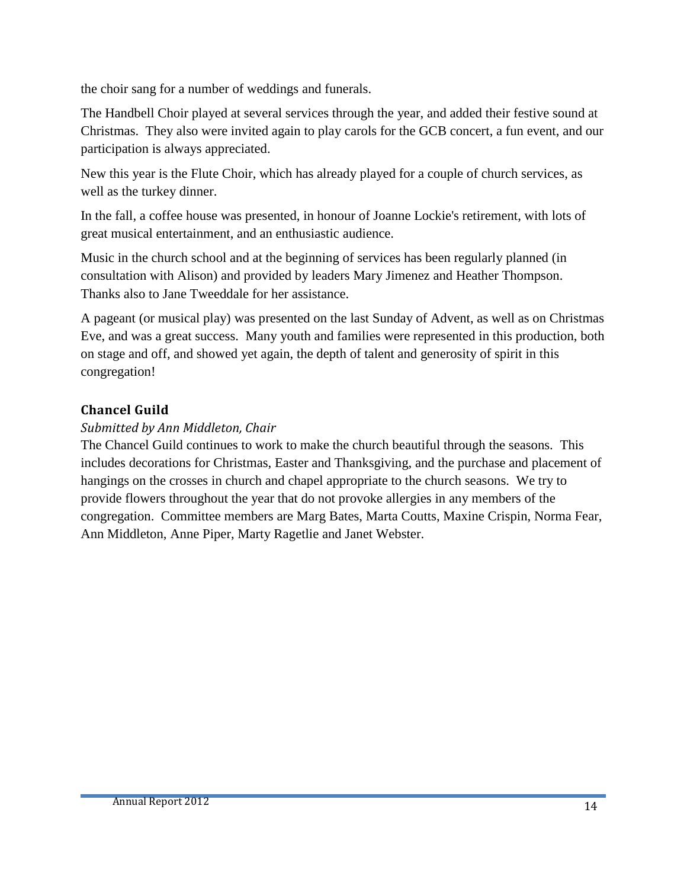the choir sang for a number of weddings and funerals.

The Handbell Choir played at several services through the year, and added their festive sound at Christmas. They also were invited again to play carols for the GCB concert, a fun event, and our participation is always appreciated.

New this year is the Flute Choir, which has already played for a couple of church services, as well as the turkey dinner.

In the fall, a coffee house was presented, in honour of Joanne Lockie's retirement, with lots of great musical entertainment, and an enthusiastic audience.

Music in the church school and at the beginning of services has been regularly planned (in consultation with Alison) and provided by leaders Mary Jimenez and Heather Thompson. Thanks also to Jane Tweeddale for her assistance.

A pageant (or musical play) was presented on the last Sunday of Advent, as well as on Christmas Eve, and was a great success. Many youth and families were represented in this production, both on stage and off, and showed yet again, the depth of talent and generosity of spirit in this congregation!

#### **Chancel Guild**

#### *Submitted by Ann Middleton, Chair*

The Chancel Guild continues to work to make the church beautiful through the seasons. This includes decorations for Christmas, Easter and Thanksgiving, and the purchase and placement of hangings on the crosses in church and chapel appropriate to the church seasons. We try to provide flowers throughout the year that do not provoke allergies in any members of the congregation. Committee members are Marg Bates, Marta Coutts, Maxine Crispin, Norma Fear, Ann Middleton, Anne Piper, Marty Ragetlie and Janet Webster.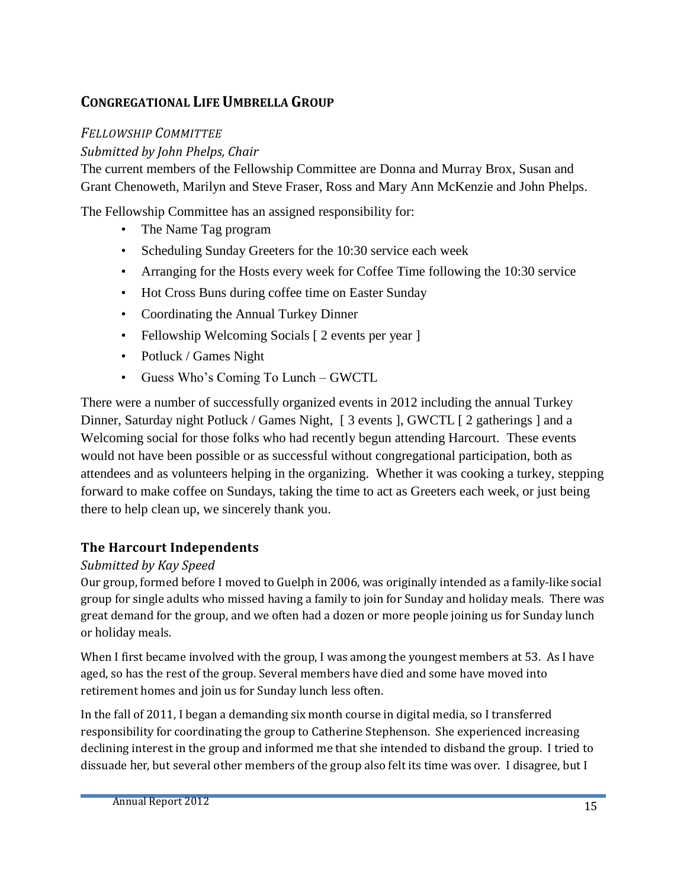#### **CONGREGATIONAL LIFE UMBRELLA GROUP**

#### *FELLOWSHIP COMMITTEE*

#### *Submitted by John Phelps, Chair*

The current members of the Fellowship Committee are Donna and Murray Brox, Susan and Grant Chenoweth, Marilyn and Steve Fraser, Ross and Mary Ann McKenzie and John Phelps.

The Fellowship Committee has an assigned responsibility for:

- The Name Tag program
- Scheduling Sunday Greeters for the 10:30 service each week
- Arranging for the Hosts every week for Coffee Time following the 10:30 service
- Hot Cross Buns during coffee time on Easter Sunday
- Coordinating the Annual Turkey Dinner
- Fellowship Welcoming Socials [ 2 events per year ]
- Potluck / Games Night
- Guess Who's Coming To Lunch GWCTL

There were a number of successfully organized events in 2012 including the annual Turkey Dinner, Saturday night Potluck / Games Night, [ 3 events ], GWCTL [ 2 gatherings ] and a Welcoming social for those folks who had recently begun attending Harcourt. These events would not have been possible or as successful without congregational participation, both as attendees and as volunteers helping in the organizing. Whether it was cooking a turkey, stepping forward to make coffee on Sundays, taking the time to act as Greeters each week, or just being there to help clean up, we sincerely thank you.

#### **The Harcourt Independents**

#### *Submitted by Kay Speed*

Our group, formed before I moved to Guelph in 2006, was originally intended as a family-like social group for single adults who missed having a family to join for Sunday and holiday meals. There was great demand for the group, and we often had a dozen or more people joining us for Sunday lunch or holiday meals.

When I first became involved with the group, I was among the youngest members at 53. As I have aged, so has the rest of the group. Several members have died and some have moved into retirement homes and join us for Sunday lunch less often.

In the fall of 2011, I began a demanding six month course in digital media, so I transferred responsibility for coordinating the group to Catherine Stephenson. She experienced increasing declining interest in the group and informed me that she intended to disband the group. I tried to dissuade her, but several other members of the group also felt its time was over. I disagree, but I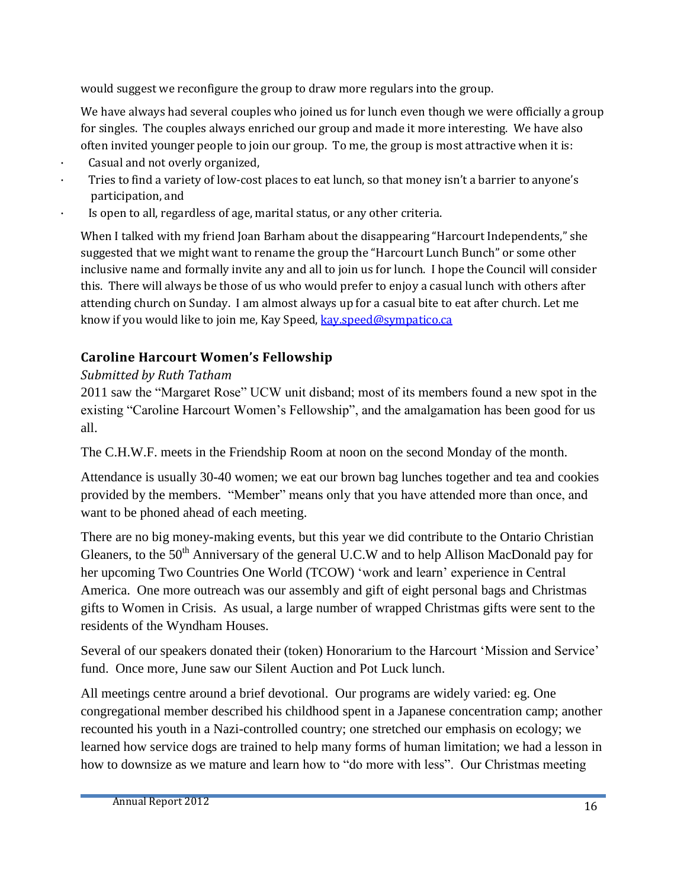would suggest we reconfigure the group to draw more regulars into the group.

We have always had several couples who joined us for lunch even though we were officially a group for singles. The couples always enriched our group and made it more interesting. We have also often invited younger people to join our group. To me, the group is most attractive when it is:

- · Casual and not overly organized,
- Tries to find a variety of low-cost places to eat lunch, so that money isn't a barrier to anyone's participation, and
- Is open to all, regardless of age, marital status, or any other criteria.

When I talked with my friend Joan Barham about the disappearing "Harcourt Independents," she suggested that we might want to rename the group the "Harcourt Lunch Bunch" or some other inclusive name and formally invite any and all to join us for lunch. I hope the Council will consider this. There will always be those of us who would prefer to enjoy a casual lunch with others after attending church on Sunday. I am almost always up for a casual bite to eat after church. Let me know if you would like to join me, Kay Speed, [kay.speed@sympatico.ca](mailto:kay.speed@sympatico.ca)

#### **Caroline Harcourt Women's Fellowship**

#### *Submitted by Ruth Tatham*

2011 saw the "Margaret Rose" UCW unit disband; most of its members found a new spot in the existing "Caroline Harcourt Women's Fellowship", and the amalgamation has been good for us all.

The C.H.W.F. meets in the Friendship Room at noon on the second Monday of the month.

Attendance is usually 30-40 women; we eat our brown bag lunches together and tea and cookies provided by the members. "Member" means only that you have attended more than once, and want to be phoned ahead of each meeting.

There are no big money-making events, but this year we did contribute to the Ontario Christian Gleaners, to the 50<sup>th</sup> Anniversary of the general U.C.W and to help Allison MacDonald pay for her upcoming Two Countries One World (TCOW) 'work and learn' experience in Central America. One more outreach was our assembly and gift of eight personal bags and Christmas gifts to Women in Crisis. As usual, a large number of wrapped Christmas gifts were sent to the residents of the Wyndham Houses.

Several of our speakers donated their (token) Honorarium to the Harcourt 'Mission and Service' fund. Once more, June saw our Silent Auction and Pot Luck lunch.

All meetings centre around a brief devotional. Our programs are widely varied: eg. One congregational member described his childhood spent in a Japanese concentration camp; another recounted his youth in a Nazi-controlled country; one stretched our emphasis on ecology; we learned how service dogs are trained to help many forms of human limitation; we had a lesson in how to downsize as we mature and learn how to "do more with less". Our Christmas meeting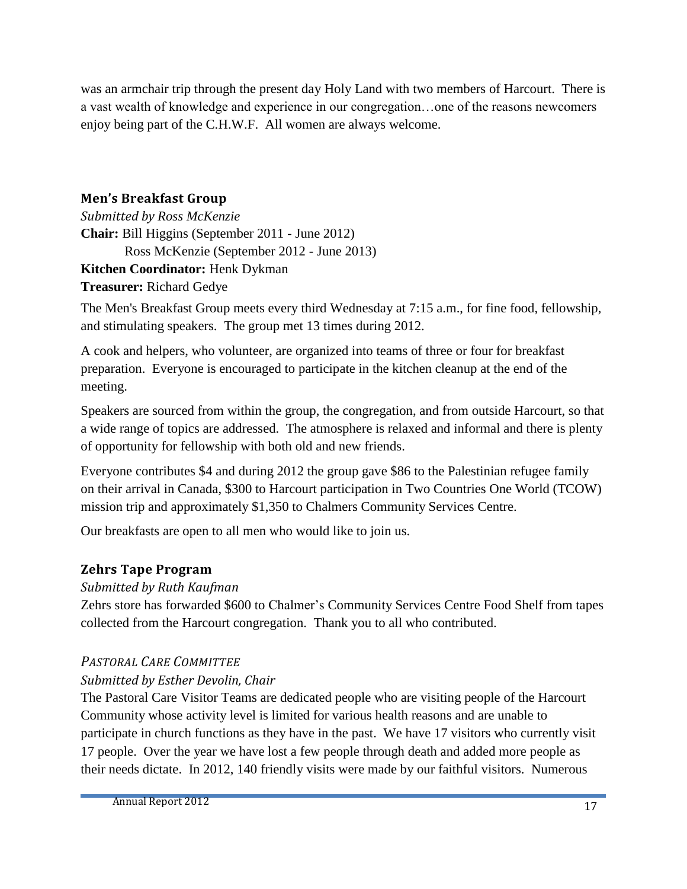was an armchair trip through the present day Holy Land with two members of Harcourt. There is a vast wealth of knowledge and experience in our congregation…one of the reasons newcomers enjoy being part of the C.H.W.F. All women are always welcome.

#### **Men's Breakfast Group**

*Submitted by Ross McKenzie* **Chair:** Bill Higgins (September 2011 - June 2012) Ross McKenzie (September 2012 - June 2013) **Kitchen Coordinator:** Henk Dykman

**Treasurer:** Richard Gedye

The Men's Breakfast Group meets every third Wednesday at 7:15 a.m., for fine food, fellowship, and stimulating speakers. The group met 13 times during 2012.

A cook and helpers, who volunteer, are organized into teams of three or four for breakfast preparation. Everyone is encouraged to participate in the kitchen cleanup at the end of the meeting.

Speakers are sourced from within the group, the congregation, and from outside Harcourt, so that a wide range of topics are addressed. The atmosphere is relaxed and informal and there is plenty of opportunity for fellowship with both old and new friends.

Everyone contributes \$4 and during 2012 the group gave \$86 to the Palestinian refugee family on their arrival in Canada, \$300 to Harcourt participation in Two Countries One World (TCOW) mission trip and approximately \$1,350 to Chalmers Community Services Centre.

Our breakfasts are open to all men who would like to join us.

#### **Zehrs Tape Program**

#### *Submitted by Ruth Kaufman*

Zehrs store has forwarded \$600 to Chalmer's Community Services Centre Food Shelf from tapes collected from the Harcourt congregation. Thank you to all who contributed.

#### *PASTORAL CARE COMMITTEE*

#### *Submitted by Esther Devolin, Chair*

The Pastoral Care Visitor Teams are dedicated people who are visiting people of the Harcourt Community whose activity level is limited for various health reasons and are unable to participate in church functions as they have in the past. We have 17 visitors who currently visit 17 people. Over the year we have lost a few people through death and added more people as their needs dictate. In 2012, 140 friendly visits were made by our faithful visitors. Numerous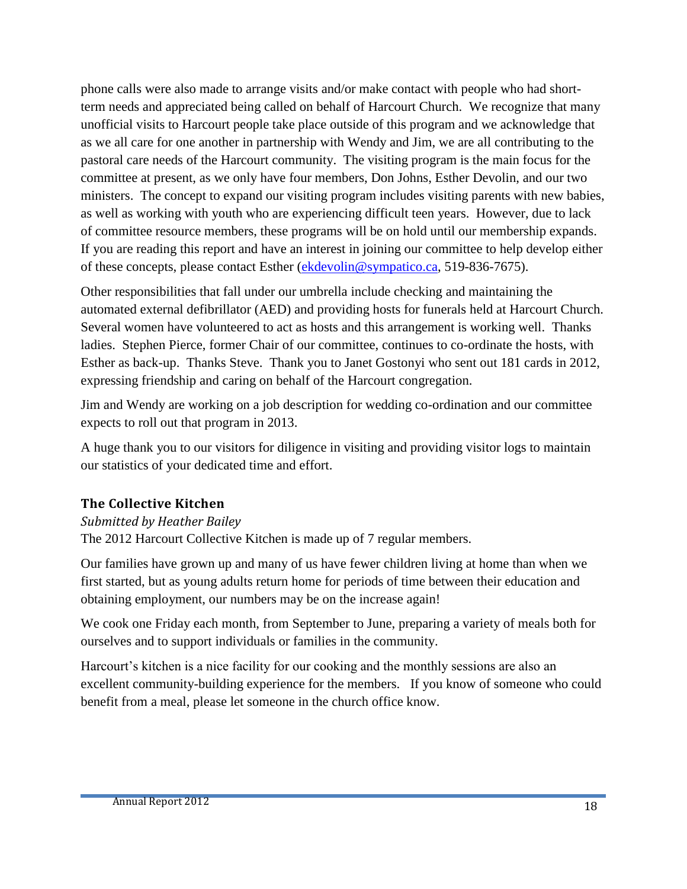phone calls were also made to arrange visits and/or make contact with people who had shortterm needs and appreciated being called on behalf of Harcourt Church. We recognize that many unofficial visits to Harcourt people take place outside of this program and we acknowledge that as we all care for one another in partnership with Wendy and Jim, we are all contributing to the pastoral care needs of the Harcourt community. The visiting program is the main focus for the committee at present, as we only have four members, Don Johns, Esther Devolin, and our two ministers. The concept to expand our visiting program includes visiting parents with new babies, as well as working with youth who are experiencing difficult teen years. However, due to lack of committee resource members, these programs will be on hold until our membership expands. If you are reading this report and have an interest in joining our committee to help develop either of these concepts, please contact Esther [\(ekdevolin@sympatico.ca,](mailto:ekdevolin@sympatico.ca) 519-836-7675).

Other responsibilities that fall under our umbrella include checking and maintaining the automated external defibrillator (AED) and providing hosts for funerals held at Harcourt Church. Several women have volunteered to act as hosts and this arrangement is working well. Thanks ladies. Stephen Pierce, former Chair of our committee, continues to co-ordinate the hosts, with Esther as back-up. Thanks Steve. Thank you to Janet Gostonyi who sent out 181 cards in 2012, expressing friendship and caring on behalf of the Harcourt congregation.

Jim and Wendy are working on a job description for wedding co-ordination and our committee expects to roll out that program in 2013.

A huge thank you to our visitors for diligence in visiting and providing visitor logs to maintain our statistics of your dedicated time and effort.

#### **The Collective Kitchen**

#### *Submitted by Heather Bailey*

The 2012 Harcourt Collective Kitchen is made up of 7 regular members.

Our families have grown up and many of us have fewer children living at home than when we first started, but as young adults return home for periods of time between their education and obtaining employment, our numbers may be on the increase again!

We cook one Friday each month, from September to June, preparing a variety of meals both for ourselves and to support individuals or families in the community.

Harcourt's kitchen is a nice facility for our cooking and the monthly sessions are also an excellent community-building experience for the members. If you know of someone who could benefit from a meal, please let someone in the church office know.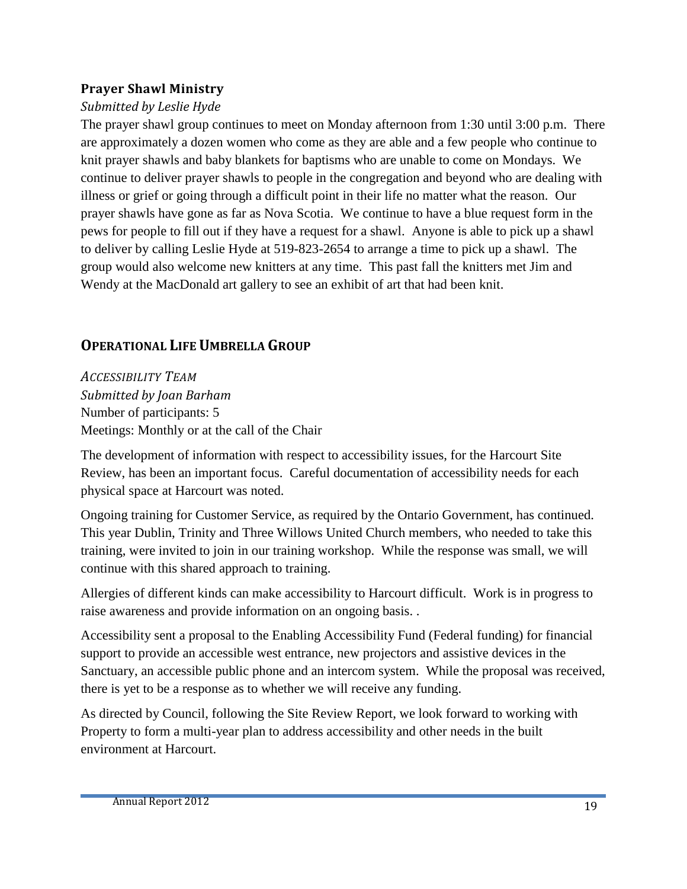#### **Prayer Shawl Ministry**

#### *Submitted by Leslie Hyde*

The prayer shawl group continues to meet on Monday afternoon from 1:30 until 3:00 p.m. There are approximately a dozen women who come as they are able and a few people who continue to knit prayer shawls and baby blankets for baptisms who are unable to come on Mondays. We continue to deliver prayer shawls to people in the congregation and beyond who are dealing with illness or grief or going through a difficult point in their life no matter what the reason. Our prayer shawls have gone as far as Nova Scotia. We continue to have a blue request form in the pews for people to fill out if they have a request for a shawl. Anyone is able to pick up a shawl to deliver by calling Leslie Hyde at 519-823-2654 to arrange a time to pick up a shawl. The group would also welcome new knitters at any time. This past fall the knitters met Jim and Wendy at the MacDonald art gallery to see an exhibit of art that had been knit.

#### **OPERATIONAL LIFE UMBRELLA GROUP**

*ACCESSIBILITY TEAM Submitted by Joan Barham* Number of participants: 5 Meetings: Monthly or at the call of the Chair

The development of information with respect to accessibility issues, for the Harcourt Site Review, has been an important focus. Careful documentation of accessibility needs for each physical space at Harcourt was noted.

Ongoing training for Customer Service, as required by the Ontario Government, has continued. This year Dublin, Trinity and Three Willows United Church members, who needed to take this training, were invited to join in our training workshop. While the response was small, we will continue with this shared approach to training.

Allergies of different kinds can make accessibility to Harcourt difficult. Work is in progress to raise awareness and provide information on an ongoing basis. .

Accessibility sent a proposal to the Enabling Accessibility Fund (Federal funding) for financial support to provide an accessible west entrance, new projectors and assistive devices in the Sanctuary, an accessible public phone and an intercom system. While the proposal was received, there is yet to be a response as to whether we will receive any funding.

As directed by Council, following the Site Review Report, we look forward to working with Property to form a multi-year plan to address accessibility and other needs in the built environment at Harcourt.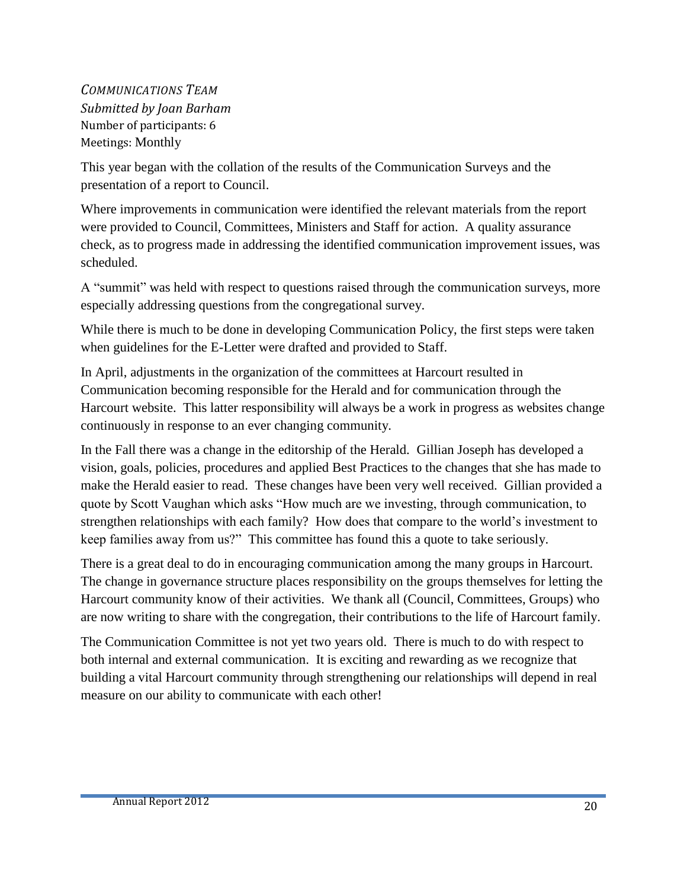*COMMUNICATIONS TEAM Submitted by Joan Barham* Number of participants: 6 Meetings: Monthly

This year began with the collation of the results of the Communication Surveys and the presentation of a report to Council.

Where improvements in communication were identified the relevant materials from the report were provided to Council, Committees, Ministers and Staff for action. A quality assurance check, as to progress made in addressing the identified communication improvement issues, was scheduled.

A "summit" was held with respect to questions raised through the communication surveys, more especially addressing questions from the congregational survey.

While there is much to be done in developing Communication Policy, the first steps were taken when guidelines for the E-Letter were drafted and provided to Staff.

In April, adjustments in the organization of the committees at Harcourt resulted in Communication becoming responsible for the Herald and for communication through the Harcourt website. This latter responsibility will always be a work in progress as websites change continuously in response to an ever changing community.

In the Fall there was a change in the editorship of the Herald. Gillian Joseph has developed a vision, goals, policies, procedures and applied Best Practices to the changes that she has made to make the Herald easier to read. These changes have been very well received. Gillian provided a quote by Scott Vaughan which asks "How much are we investing, through communication, to strengthen relationships with each family? How does that compare to the world's investment to keep families away from us?" This committee has found this a quote to take seriously.

There is a great deal to do in encouraging communication among the many groups in Harcourt. The change in governance structure places responsibility on the groups themselves for letting the Harcourt community know of their activities. We thank all (Council, Committees, Groups) who are now writing to share with the congregation, their contributions to the life of Harcourt family.

The Communication Committee is not yet two years old. There is much to do with respect to both internal and external communication. It is exciting and rewarding as we recognize that building a vital Harcourt community through strengthening our relationships will depend in real measure on our ability to communicate with each other!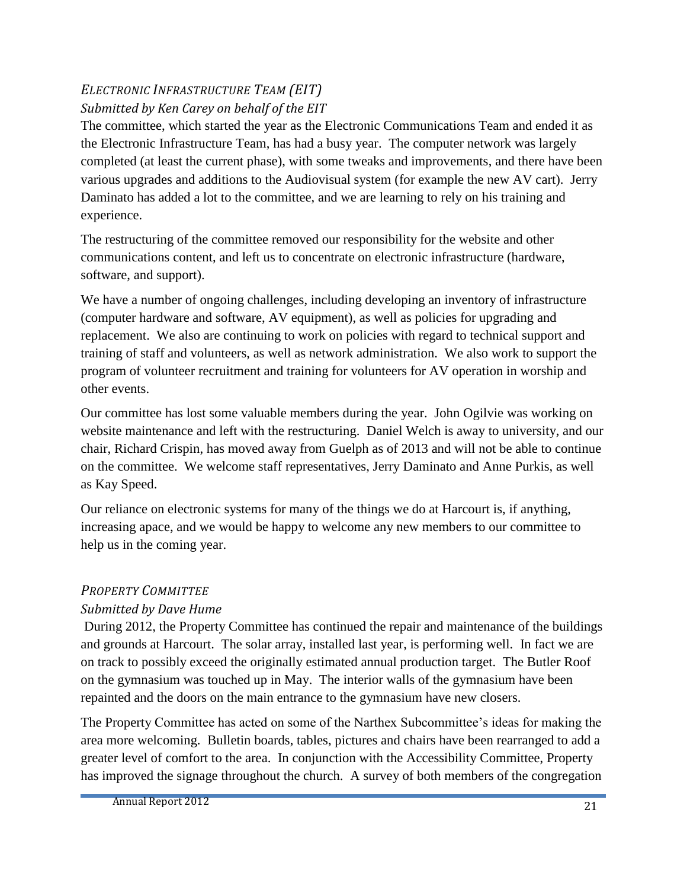#### *ELECTRONIC INFRASTRUCTURE TEAM (EIT) Submitted by Ken Carey on behalf of the EIT*

The committee, which started the year as the Electronic Communications Team and ended it as the Electronic Infrastructure Team, has had a busy year. The computer network was largely completed (at least the current phase), with some tweaks and improvements, and there have been various upgrades and additions to the Audiovisual system (for example the new AV cart). Jerry Daminato has added a lot to the committee, and we are learning to rely on his training and experience.

The restructuring of the committee removed our responsibility for the website and other communications content, and left us to concentrate on electronic infrastructure (hardware, software, and support).

We have a number of ongoing challenges, including developing an inventory of infrastructure (computer hardware and software, AV equipment), as well as policies for upgrading and replacement. We also are continuing to work on policies with regard to technical support and training of staff and volunteers, as well as network administration. We also work to support the program of volunteer recruitment and training for volunteers for AV operation in worship and other events.

Our committee has lost some valuable members during the year. John Ogilvie was working on website maintenance and left with the restructuring. Daniel Welch is away to university, and our chair, Richard Crispin, has moved away from Guelph as of 2013 and will not be able to continue on the committee. We welcome staff representatives, Jerry Daminato and Anne Purkis, as well as Kay Speed.

Our reliance on electronic systems for many of the things we do at Harcourt is, if anything, increasing apace, and we would be happy to welcome any new members to our committee to help us in the coming year.

#### *PROPERTY COMMITTEE*

#### *Submitted by Dave Hume*

During 2012, the Property Committee has continued the repair and maintenance of the buildings and grounds at Harcourt. The solar array, installed last year, is performing well. In fact we are on track to possibly exceed the originally estimated annual production target. The Butler Roof on the gymnasium was touched up in May. The interior walls of the gymnasium have been repainted and the doors on the main entrance to the gymnasium have new closers.

The Property Committee has acted on some of the Narthex Subcommittee's ideas for making the area more welcoming. Bulletin boards, tables, pictures and chairs have been rearranged to add a greater level of comfort to the area. In conjunction with the Accessibility Committee, Property has improved the signage throughout the church. A survey of both members of the congregation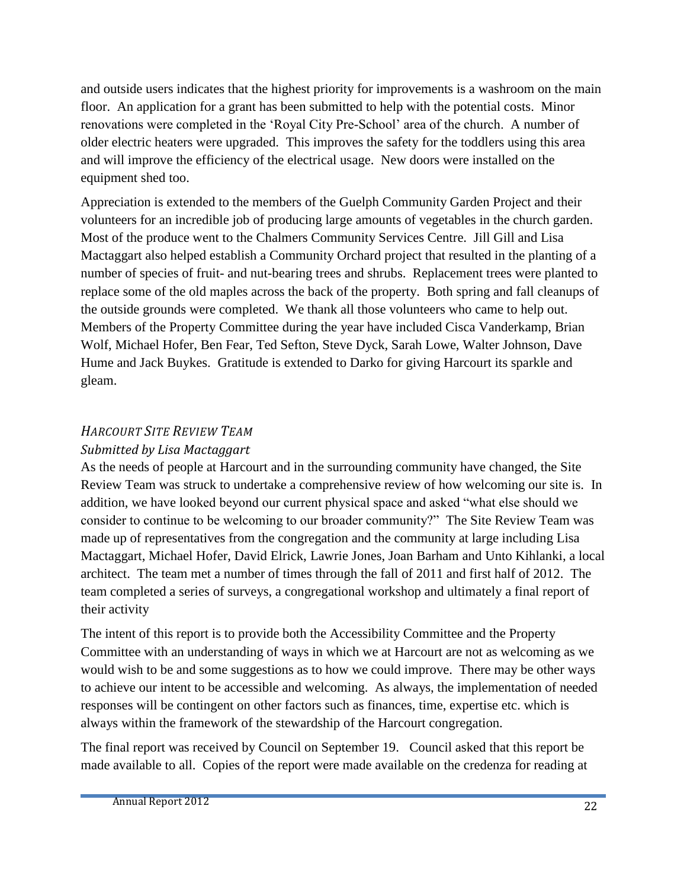and outside users indicates that the highest priority for improvements is a washroom on the main floor. An application for a grant has been submitted to help with the potential costs. Minor renovations were completed in the 'Royal City Pre-School' area of the church. A number of older electric heaters were upgraded. This improves the safety for the toddlers using this area and will improve the efficiency of the electrical usage. New doors were installed on the equipment shed too.

Appreciation is extended to the members of the Guelph Community Garden Project and their volunteers for an incredible job of producing large amounts of vegetables in the church garden. Most of the produce went to the Chalmers Community Services Centre. Jill Gill and Lisa Mactaggart also helped establish a Community Orchard project that resulted in the planting of a number of species of fruit- and nut-bearing trees and shrubs. Replacement trees were planted to replace some of the old maples across the back of the property. Both spring and fall cleanups of the outside grounds were completed. We thank all those volunteers who came to help out. Members of the Property Committee during the year have included Cisca Vanderkamp, Brian Wolf, Michael Hofer, Ben Fear, Ted Sefton, Steve Dyck, Sarah Lowe, Walter Johnson, Dave Hume and Jack Buykes. Gratitude is extended to Darko for giving Harcourt its sparkle and gleam.

#### *HARCOURT SITE REVIEW TEAM*

#### *Submitted by Lisa Mactaggart*

As the needs of people at Harcourt and in the surrounding community have changed, the Site Review Team was struck to undertake a comprehensive review of how welcoming our site is. In addition, we have looked beyond our current physical space and asked "what else should we consider to continue to be welcoming to our broader community?" The Site Review Team was made up of representatives from the congregation and the community at large including Lisa Mactaggart, Michael Hofer, David Elrick, Lawrie Jones, Joan Barham and Unto Kihlanki, a local architect. The team met a number of times through the fall of 2011 and first half of 2012. The team completed a series of surveys, a congregational workshop and ultimately a final report of their activity

The intent of this report is to provide both the Accessibility Committee and the Property Committee with an understanding of ways in which we at Harcourt are not as welcoming as we would wish to be and some suggestions as to how we could improve. There may be other ways to achieve our intent to be accessible and welcoming. As always, the implementation of needed responses will be contingent on other factors such as finances, time, expertise etc. which is always within the framework of the stewardship of the Harcourt congregation.

The final report was received by Council on September 19. Council asked that this report be made available to all. Copies of the report were made available on the credenza for reading at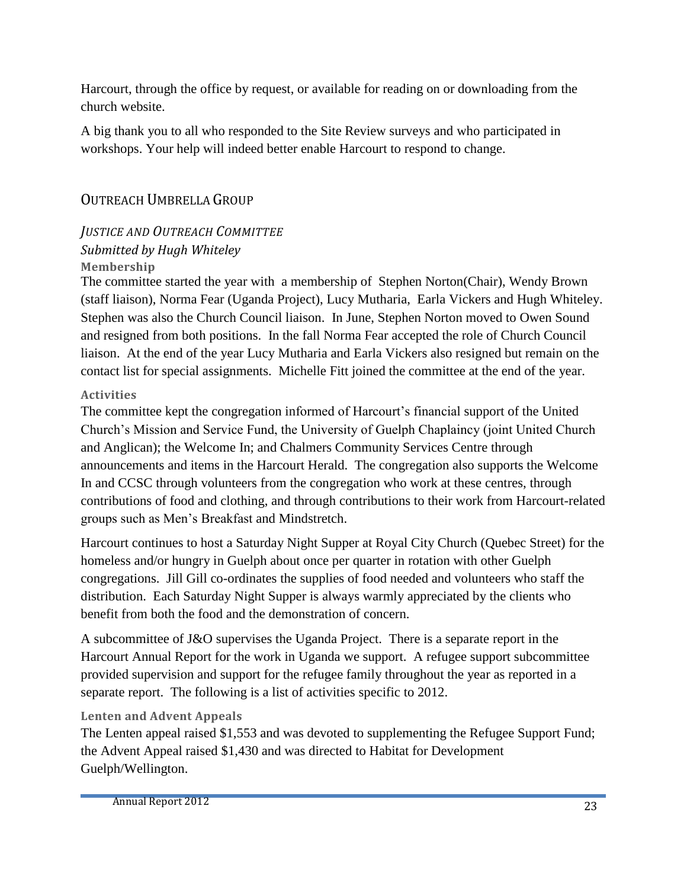Harcourt, through the office by request, or available for reading on or downloading from the church website.

A big thank you to all who responded to the Site Review surveys and who participated in workshops. Your help will indeed better enable Harcourt to respond to change.

#### OUTREACH UMBRELLA GROUP

#### *JUSTICE AND OUTREACH COMMITTEE Submitted by Hugh Whiteley* **Membership**

The committee started the year with a membership of Stephen Norton(Chair), Wendy Brown (staff liaison), Norma Fear (Uganda Project), Lucy Mutharia, Earla Vickers and Hugh Whiteley. Stephen was also the Church Council liaison. In June, Stephen Norton moved to Owen Sound and resigned from both positions. In the fall Norma Fear accepted the role of Church Council liaison. At the end of the year Lucy Mutharia and Earla Vickers also resigned but remain on the contact list for special assignments. Michelle Fitt joined the committee at the end of the year.

#### **Activities**

The committee kept the congregation informed of Harcourt's financial support of the United Church's Mission and Service Fund, the University of Guelph Chaplaincy (joint United Church and Anglican); the Welcome In; and Chalmers Community Services Centre through announcements and items in the Harcourt Herald. The congregation also supports the Welcome In and CCSC through volunteers from the congregation who work at these centres, through contributions of food and clothing, and through contributions to their work from Harcourt-related groups such as Men's Breakfast and Mindstretch.

Harcourt continues to host a Saturday Night Supper at Royal City Church (Quebec Street) for the homeless and/or hungry in Guelph about once per quarter in rotation with other Guelph congregations. Jill Gill co-ordinates the supplies of food needed and volunteers who staff the distribution. Each Saturday Night Supper is always warmly appreciated by the clients who benefit from both the food and the demonstration of concern.

A subcommittee of J&O supervises the Uganda Project. There is a separate report in the Harcourt Annual Report for the work in Uganda we support. A refugee support subcommittee provided supervision and support for the refugee family throughout the year as reported in a separate report. The following is a list of activities specific to 2012.

#### **Lenten and Advent Appeals**

The Lenten appeal raised \$1,553 and was devoted to supplementing the Refugee Support Fund; the Advent Appeal raised \$1,430 and was directed to Habitat for Development Guelph/Wellington.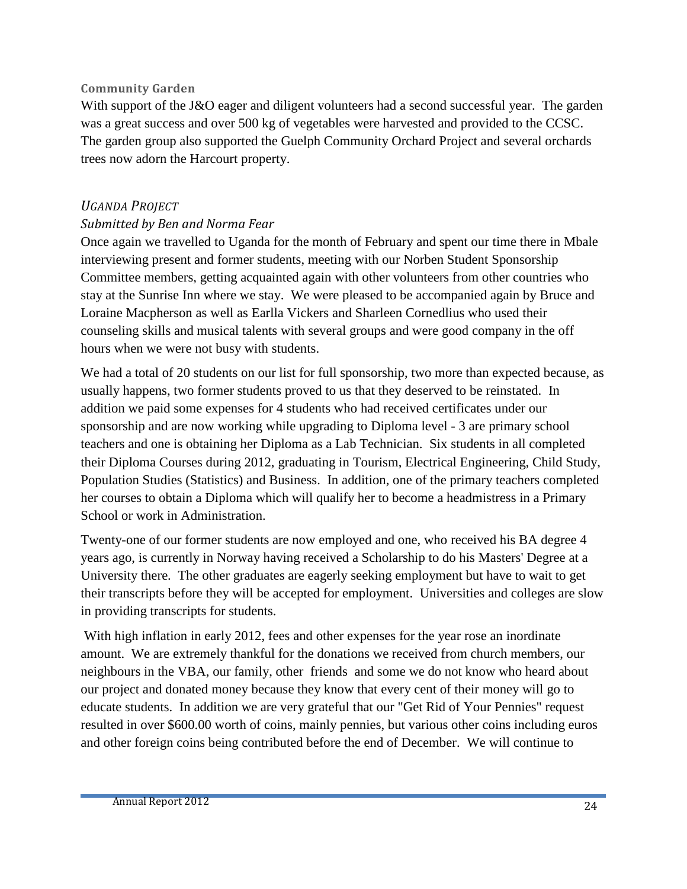#### **Community Garden**

With support of the J&O eager and diligent volunteers had a second successful year. The garden was a great success and over 500 kg of vegetables were harvested and provided to the CCSC. The garden group also supported the Guelph Community Orchard Project and several orchards trees now adorn the Harcourt property.

#### *UGANDA PROJECT*

#### *Submitted by Ben and Norma Fear*

Once again we travelled to Uganda for the month of February and spent our time there in Mbale interviewing present and former students, meeting with our Norben Student Sponsorship Committee members, getting acquainted again with other volunteers from other countries who stay at the Sunrise Inn where we stay. We were pleased to be accompanied again by Bruce and Loraine Macpherson as well as Earlla Vickers and Sharleen Cornedlius who used their counseling skills and musical talents with several groups and were good company in the off hours when we were not busy with students.

We had a total of 20 students on our list for full sponsorship, two more than expected because, as usually happens, two former students proved to us that they deserved to be reinstated. In addition we paid some expenses for 4 students who had received certificates under our sponsorship and are now working while upgrading to Diploma level - 3 are primary school teachers and one is obtaining her Diploma as a Lab Technician. Six students in all completed their Diploma Courses during 2012, graduating in Tourism, Electrical Engineering, Child Study, Population Studies (Statistics) and Business. In addition, one of the primary teachers completed her courses to obtain a Diploma which will qualify her to become a headmistress in a Primary School or work in Administration.

Twenty-one of our former students are now employed and one, who received his BA degree 4 years ago, is currently in Norway having received a Scholarship to do his Masters' Degree at a University there. The other graduates are eagerly seeking employment but have to wait to get their transcripts before they will be accepted for employment. Universities and colleges are slow in providing transcripts for students.

With high inflation in early 2012, fees and other expenses for the year rose an inordinate amount. We are extremely thankful for the donations we received from church members, our neighbours in the VBA, our family, other friends and some we do not know who heard about our project and donated money because they know that every cent of their money will go to educate students. In addition we are very grateful that our "Get Rid of Your Pennies" request resulted in over \$600.00 worth of coins, mainly pennies, but various other coins including euros and other foreign coins being contributed before the end of December. We will continue to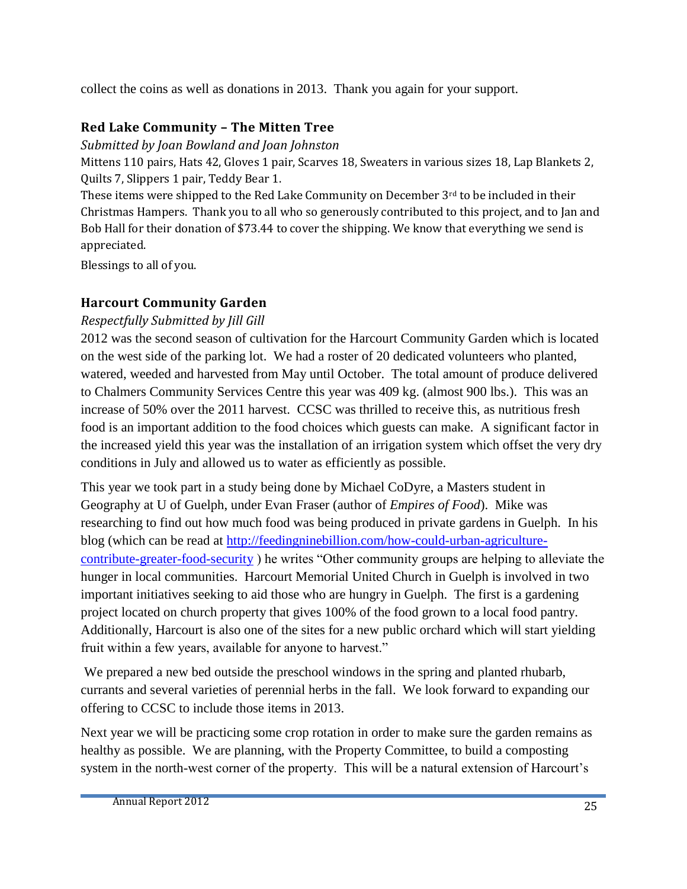collect the coins as well as donations in 2013. Thank you again for your support.

#### **Red Lake Community – The Mitten Tree**

*Submitted by Joan Bowland and Joan Johnston*

Mittens 110 pairs, Hats 42, Gloves 1 pair, Scarves 18, Sweaters in various sizes 18, Lap Blankets 2, Quilts 7, Slippers 1 pair, Teddy Bear 1.

These items were shipped to the Red Lake Community on December  $3<sup>rd</sup>$  to be included in their Christmas Hampers. Thank you to all who so generously contributed to this project, and to Jan and Bob Hall for their donation of \$73.44 to cover the shipping. We know that everything we send is appreciated.

Blessings to all of you.

#### **Harcourt Community Garden**

#### *Respectfully Submitted by Jill Gill*

2012 was the second season of cultivation for the Harcourt Community Garden which is located on the west side of the parking lot. We had a roster of 20 dedicated volunteers who planted, watered, weeded and harvested from May until October. The total amount of produce delivered to Chalmers Community Services Centre this year was 409 kg. (almost 900 lbs.). This was an increase of 50% over the 2011 harvest. CCSC was thrilled to receive this, as nutritious fresh food is an important addition to the food choices which guests can make. A significant factor in the increased yield this year was the installation of an irrigation system which offset the very dry conditions in July and allowed us to water as efficiently as possible.

This year we took part in a study being done by Michael CoDyre, a Masters student in Geography at U of Guelph, under Evan Fraser (author of *Empires of Food*). Mike was researching to find out how much food was being produced in private gardens in Guelph. In his blog (which can be read at [http://feedingninebillion.com/how-could-urban-agriculture](http://feedingninebillion.com/how-could-urban-agriculture-contribute-greater-food-security)[contribute-greater-food-security](http://feedingninebillion.com/how-could-urban-agriculture-contribute-greater-food-security) ) he writes "Other community groups are helping to alleviate the hunger in local communities. Harcourt Memorial United Church in Guelph is involved in two important initiatives seeking to aid those who are hungry in Guelph. The first is a gardening project located on church property that gives 100% of the food grown to a local food pantry. Additionally, Harcourt is also one of the sites for a new public orchard which will start yielding fruit within a few years, available for anyone to harvest."

We prepared a new bed outside the preschool windows in the spring and planted rhubarb, currants and several varieties of perennial herbs in the fall. We look forward to expanding our offering to CCSC to include those items in 2013.

Next year we will be practicing some crop rotation in order to make sure the garden remains as healthy as possible. We are planning, with the Property Committee, to build a composting system in the north-west corner of the property. This will be a natural extension of Harcourt's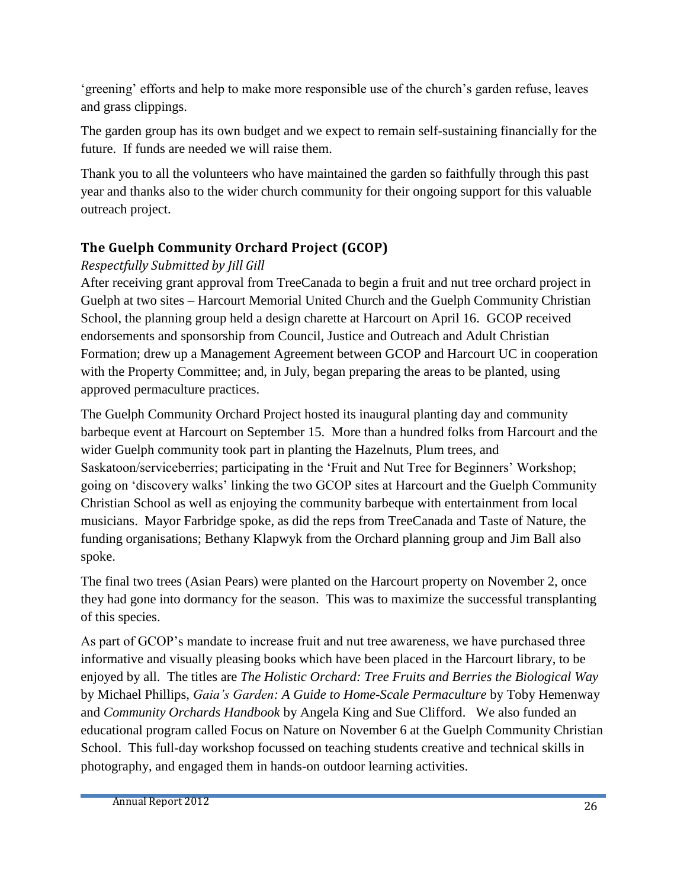'greening' efforts and help to make more responsible use of the church's garden refuse, leaves and grass clippings.

The garden group has its own budget and we expect to remain self-sustaining financially for the future. If funds are needed we will raise them.

Thank you to all the volunteers who have maintained the garden so faithfully through this past year and thanks also to the wider church community for their ongoing support for this valuable outreach project.

#### **The Guelph Community Orchard Project (GCOP)**

#### *Respectfully Submitted by Jill Gill*

After receiving grant approval from TreeCanada to begin a fruit and nut tree orchard project in Guelph at two sites – Harcourt Memorial United Church and the Guelph Community Christian School, the planning group held a design charette at Harcourt on April 16. GCOP received endorsements and sponsorship from Council, Justice and Outreach and Adult Christian Formation; drew up a Management Agreement between GCOP and Harcourt UC in cooperation with the Property Committee; and, in July, began preparing the areas to be planted, using approved permaculture practices.

The Guelph Community Orchard Project hosted its inaugural planting day and community barbeque event at Harcourt on September 15. More than a hundred folks from Harcourt and the wider Guelph community took part in planting the Hazelnuts, Plum trees, and Saskatoon/serviceberries; participating in the 'Fruit and Nut Tree for Beginners' Workshop; going on 'discovery walks' linking the two GCOP sites at Harcourt and the Guelph Community Christian School as well as enjoying the community barbeque with entertainment from local musicians. Mayor Farbridge spoke, as did the reps from TreeCanada and Taste of Nature, the funding organisations; Bethany Klapwyk from the Orchard planning group and Jim Ball also spoke.

The final two trees (Asian Pears) were planted on the Harcourt property on November 2, once they had gone into dormancy for the season. This was to maximize the successful transplanting of this species.

As part of GCOP's mandate to increase fruit and nut tree awareness, we have purchased three informative and visually pleasing books which have been placed in the Harcourt library, to be enjoyed by all. The titles are *The Holistic Orchard: Tree Fruits and Berries the Biological Way* by Michael Phillips, *Gaia's Garden: A Guide to Home-Scale Permaculture* by Toby Hemenway and *Community Orchards Handbook* by Angela King and Sue Clifford. We also funded an educational program called Focus on Nature on November 6 at the Guelph Community Christian School. This full-day workshop focussed on teaching students creative and technical skills in photography, and engaged them in hands-on outdoor learning activities.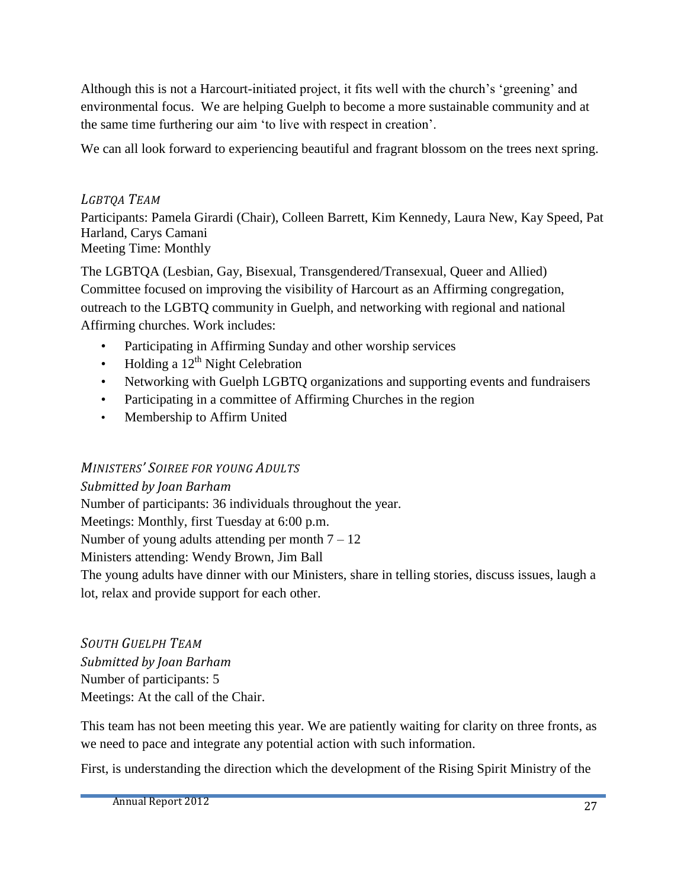Although this is not a Harcourt-initiated project, it fits well with the church's 'greening' and environmental focus. We are helping Guelph to become a more sustainable community and at the same time furthering our aim 'to live with respect in creation'.

We can all look forward to experiencing beautiful and fragrant blossom on the trees next spring.

#### *LGBTQA TEAM*

Participants: Pamela Girardi (Chair), Colleen Barrett, Kim Kennedy, Laura New, Kay Speed, Pat Harland, Carys Camani Meeting Time: Monthly

The LGBTQA (Lesbian, Gay, Bisexual, Transgendered/Transexual, Queer and Allied) Committee focused on improving the visibility of Harcourt as an Affirming congregation, outreach to the LGBTQ community in Guelph, and networking with regional and national Affirming churches. Work includes:

- Participating in Affirming Sunday and other worship services
- Holding a  $12<sup>th</sup>$  Night Celebration
- Networking with Guelph LGBTQ organizations and supporting events and fundraisers
- Participating in a committee of Affirming Churches in the region
- Membership to Affirm United

#### *MINISTERS' SOIREE FOR YOUNG ADULTS*

*Submitted by Joan Barham* Number of participants: 36 individuals throughout the year. Meetings: Monthly, first Tuesday at 6:00 p.m. Number of young adults attending per month  $7 - 12$ Ministers attending: Wendy Brown, Jim Ball The young adults have dinner with our Ministers, share in telling stories, discuss issues, laugh a lot, relax and provide support for each other.

*SOUTH GUELPH TEAM Submitted by Joan Barham* Number of participants: 5 Meetings: At the call of the Chair.

This team has not been meeting this year. We are patiently waiting for clarity on three fronts, as we need to pace and integrate any potential action with such information.

First, is understanding the direction which the development of the Rising Spirit Ministry of the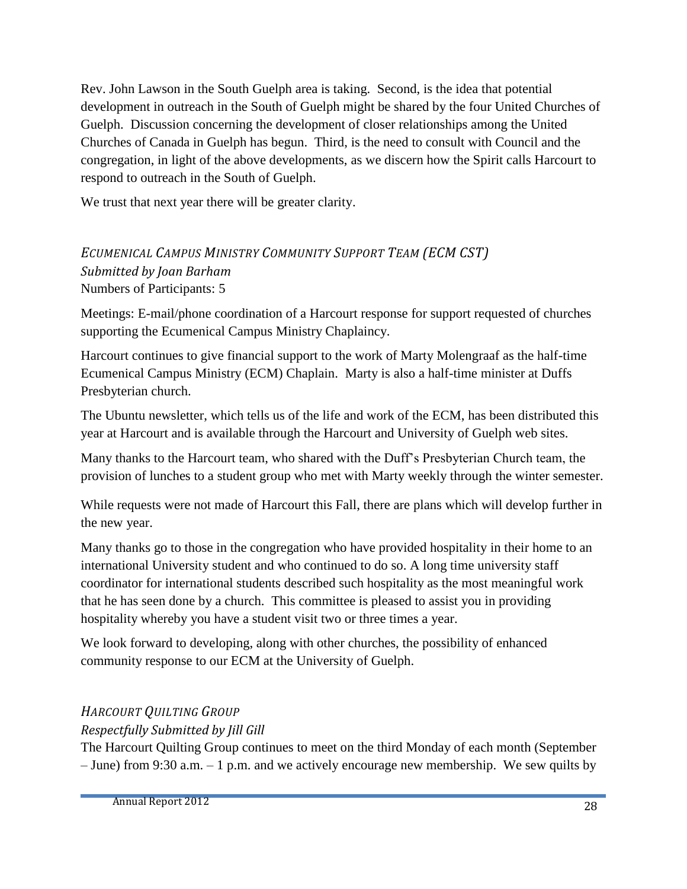Rev. John Lawson in the South Guelph area is taking. Second, is the idea that potential development in outreach in the South of Guelph might be shared by the four United Churches of Guelph. Discussion concerning the development of closer relationships among the United Churches of Canada in Guelph has begun. Third, is the need to consult with Council and the congregation, in light of the above developments, as we discern how the Spirit calls Harcourt to respond to outreach in the South of Guelph.

We trust that next year there will be greater clarity.

#### *ECUMENICAL CAMPUS MINISTRY COMMUNITY SUPPORT TEAM (ECM CST) Submitted by Joan Barham* Numbers of Participants: 5

Meetings: E-mail/phone coordination of a Harcourt response for support requested of churches supporting the Ecumenical Campus Ministry Chaplaincy.

Harcourt continues to give financial support to the work of Marty Molengraaf as the half-time Ecumenical Campus Ministry (ECM) Chaplain. Marty is also a half-time minister at Duffs Presbyterian church.

The Ubuntu newsletter, which tells us of the life and work of the ECM, has been distributed this year at Harcourt and is available through the Harcourt and University of Guelph web sites.

Many thanks to the Harcourt team, who shared with the Duff's Presbyterian Church team, the provision of lunches to a student group who met with Marty weekly through the winter semester.

While requests were not made of Harcourt this Fall, there are plans which will develop further in the new year.

Many thanks go to those in the congregation who have provided hospitality in their home to an international University student and who continued to do so. A long time university staff coordinator for international students described such hospitality as the most meaningful work that he has seen done by a church. This committee is pleased to assist you in providing hospitality whereby you have a student visit two or three times a year.

We look forward to developing, along with other churches, the possibility of enhanced community response to our ECM at the University of Guelph.

#### *HARCOURT QUILTING GROUP*

*Respectfully Submitted by Jill Gill* 

The Harcourt Quilting Group continues to meet on the third Monday of each month (September – June) from 9:30 a.m. – 1 p.m. and we actively encourage new membership. We sew quilts by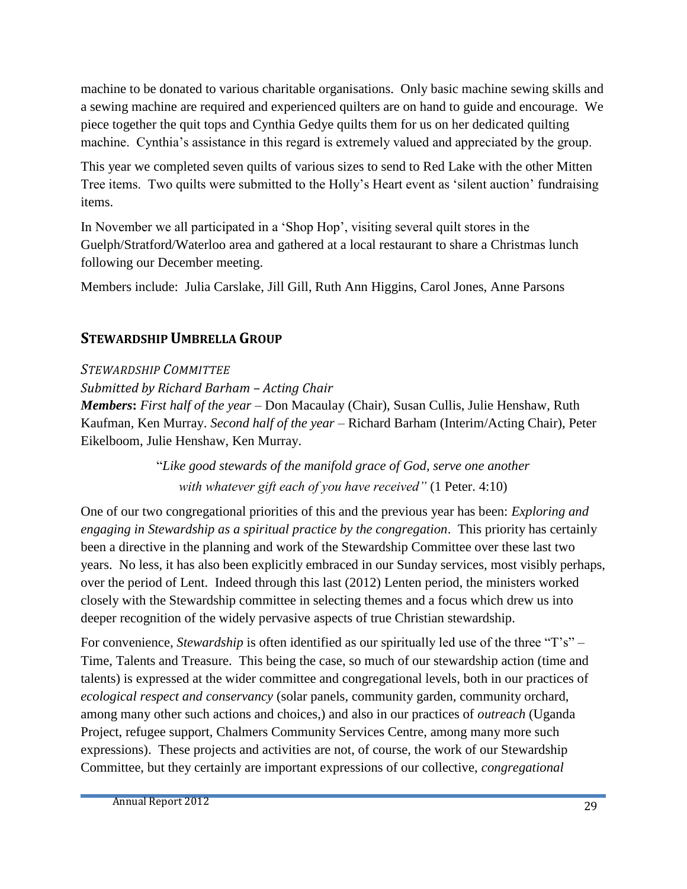machine to be donated to various charitable organisations. Only basic machine sewing skills and a sewing machine are required and experienced quilters are on hand to guide and encourage. We piece together the quit tops and Cynthia Gedye quilts them for us on her dedicated quilting machine. Cynthia's assistance in this regard is extremely valued and appreciated by the group.

This year we completed seven quilts of various sizes to send to Red Lake with the other Mitten Tree items. Two quilts were submitted to the Holly's Heart event as 'silent auction' fundraising items.

In November we all participated in a 'Shop Hop', visiting several quilt stores in the Guelph/Stratford/Waterloo area and gathered at a local restaurant to share a Christmas lunch following our December meeting.

Members include: Julia Carslake, Jill Gill, Ruth Ann Higgins, Carol Jones, Anne Parsons

#### **STEWARDSHIP UMBRELLA GROUP**

*STEWARDSHIP COMMITTEE*

*Submitted by Richard Barham – Acting Chair*

*Members***:** *First half of the year* – Don Macaulay (Chair), Susan Cullis, Julie Henshaw, Ruth Kaufman, Ken Murray. *Second half of the year –* Richard Barham (Interim/Acting Chair), Peter Eikelboom, Julie Henshaw, Ken Murray.

> "*Like good stewards of the manifold grace of God, serve one another with whatever gift each of you have received"* (1 Peter. 4:10)

One of our two congregational priorities of this and the previous year has been: *Exploring and engaging in Stewardship as a spiritual practice by the congregation*. This priority has certainly been a directive in the planning and work of the Stewardship Committee over these last two years. No less, it has also been explicitly embraced in our Sunday services, most visibly perhaps, over the period of Lent. Indeed through this last (2012) Lenten period, the ministers worked closely with the Stewardship committee in selecting themes and a focus which drew us into deeper recognition of the widely pervasive aspects of true Christian stewardship.

For convenience, *Stewardship* is often identified as our spiritually led use of the three "T's" – Time, Talents and Treasure. This being the case, so much of our stewardship action (time and talents) is expressed at the wider committee and congregational levels, both in our practices of *ecological respect and conservancy* (solar panels, community garden, community orchard, among many other such actions and choices,) and also in our practices of *outreach* (Uganda Project, refugee support, Chalmers Community Services Centre, among many more such expressions). These projects and activities are not, of course, the work of our Stewardship Committee, but they certainly are important expressions of our collective, *congregational*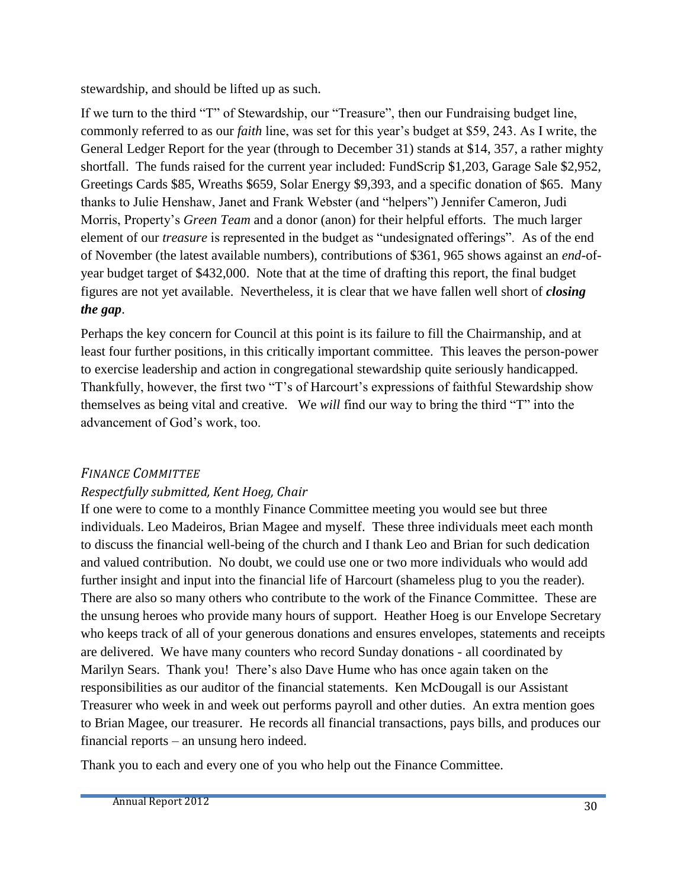stewardship, and should be lifted up as such.

If we turn to the third "T" of Stewardship, our "Treasure", then our Fundraising budget line, commonly referred to as our *faith* line, was set for this year's budget at \$59, 243. As I write, the General Ledger Report for the year (through to December 31) stands at \$14, 357, a rather mighty shortfall. The funds raised for the current year included: FundScrip \$1,203, Garage Sale \$2,952, Greetings Cards \$85, Wreaths \$659, Solar Energy \$9,393, and a specific donation of \$65. Many thanks to Julie Henshaw, Janet and Frank Webster (and "helpers") Jennifer Cameron, Judi Morris, Property's *Green Team* and a donor (anon) for their helpful efforts. The much larger element of our *treasure* is represented in the budget as "undesignated offerings". As of the end of November (the latest available numbers), contributions of \$361, 965 shows against an *end*-ofyear budget target of \$432,000. Note that at the time of drafting this report, the final budget figures are not yet available. Nevertheless, it is clear that we have fallen well short of *closing the gap*.

Perhaps the key concern for Council at this point is its failure to fill the Chairmanship, and at least four further positions, in this critically important committee. This leaves the person-power to exercise leadership and action in congregational stewardship quite seriously handicapped. Thankfully, however, the first two "T's of Harcourt's expressions of faithful Stewardship show themselves as being vital and creative. We *will* find our way to bring the third "T" into the advancement of God's work, too.

#### *FINANCE COMMITTEE*

#### *Respectfully submitted, Kent Hoeg, Chair*

If one were to come to a monthly Finance Committee meeting you would see but three individuals. Leo Madeiros, Brian Magee and myself. These three individuals meet each month to discuss the financial well-being of the church and I thank Leo and Brian for such dedication and valued contribution. No doubt, we could use one or two more individuals who would add further insight and input into the financial life of Harcourt (shameless plug to you the reader). There are also so many others who contribute to the work of the Finance Committee. These are the unsung heroes who provide many hours of support. Heather Hoeg is our Envelope Secretary who keeps track of all of your generous donations and ensures envelopes, statements and receipts are delivered. We have many counters who record Sunday donations - all coordinated by Marilyn Sears. Thank you! There's also Dave Hume who has once again taken on the responsibilities as our auditor of the financial statements. Ken McDougall is our Assistant Treasurer who week in and week out performs payroll and other duties. An extra mention goes to Brian Magee, our treasurer. He records all financial transactions, pays bills, and produces our financial reports – an unsung hero indeed.

Thank you to each and every one of you who help out the Finance Committee.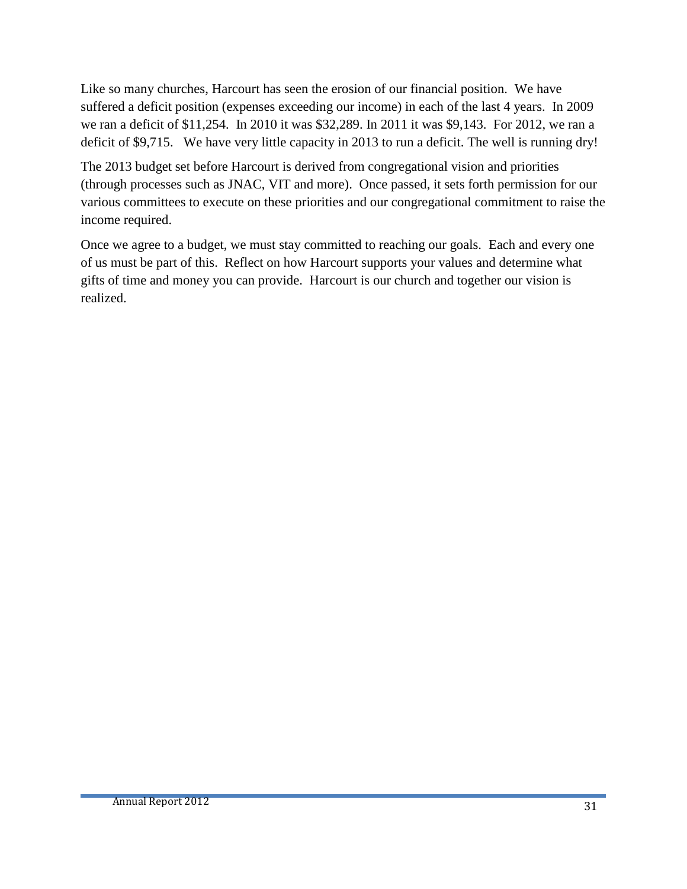Like so many churches, Harcourt has seen the erosion of our financial position. We have suffered a deficit position (expenses exceeding our income) in each of the last 4 years. In 2009 we ran a deficit of \$11,254. In 2010 it was \$32,289. In 2011 it was \$9,143. For 2012, we ran a deficit of \$9,715. We have very little capacity in 2013 to run a deficit. The well is running dry!

The 2013 budget set before Harcourt is derived from congregational vision and priorities (through processes such as JNAC, VIT and more). Once passed, it sets forth permission for our various committees to execute on these priorities and our congregational commitment to raise the income required.

Once we agree to a budget, we must stay committed to reaching our goals. Each and every one of us must be part of this. Reflect on how Harcourt supports your values and determine what gifts of time and money you can provide. Harcourt is our church and together our vision is realized.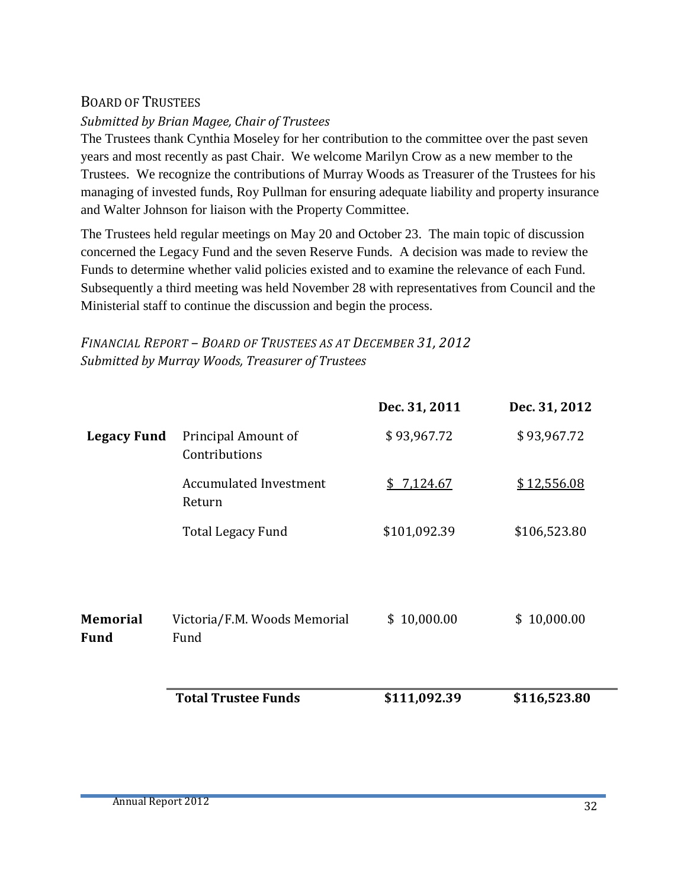#### BOARD OF TRUSTEES

#### *Submitted by Brian Magee, Chair of Trustees*

The Trustees thank Cynthia Moseley for her contribution to the committee over the past seven years and most recently as past Chair. We welcome Marilyn Crow as a new member to the Trustees. We recognize the contributions of Murray Woods as Treasurer of the Trustees for his managing of invested funds, Roy Pullman for ensuring adequate liability and property insurance and Walter Johnson for liaison with the Property Committee.

The Trustees held regular meetings on May 20 and October 23. The main topic of discussion concerned the Legacy Fund and the seven Reserve Funds. A decision was made to review the Funds to determine whether valid policies existed and to examine the relevance of each Fund. Subsequently a third meeting was held November 28 with representatives from Council and the Ministerial staff to continue the discussion and begin the process.

#### *FINANCIAL REPORT – BOARD OF TRUSTEES AS AT DECEMBER 31, 2012 Submitted by Murray Woods, Treasurer of Trustees*

|                                |                                         | Dec. 31, 2011 | Dec. 31, 2012 |
|--------------------------------|-----------------------------------------|---------------|---------------|
| <b>Legacy Fund</b>             | Principal Amount of<br>Contributions    | \$93,967.72   | \$93,967.72   |
|                                | <b>Accumulated Investment</b><br>Return | \$7,124.67    | \$12,556.08   |
|                                | <b>Total Legacy Fund</b>                | \$101,092.39  | \$106,523.80  |
| <b>Memorial</b><br><b>Fund</b> | Victoria/F.M. Woods Memorial<br>Fund    | \$10,000.00   | \$10,000.00   |
|                                | <b>Total Trustee Funds</b>              | \$111,092.39  | \$116,523.80  |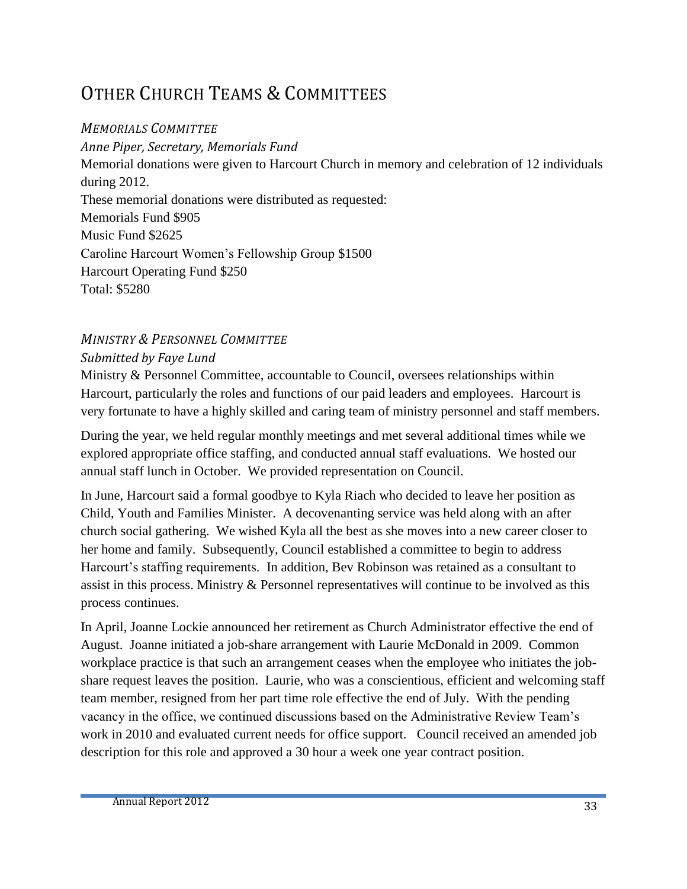# OTHER CHURCH TEAMS & COMMITTEES

#### *MEMORIALS COMMITTEE*

*Anne Piper, Secretary, Memorials Fund* Memorial donations were given to Harcourt Church in memory and celebration of 12 individuals during 2012. These memorial donations were distributed as requested: Memorials Fund \$905 Music Fund \$2625 Caroline Harcourt Women's Fellowship Group \$1500 Harcourt Operating Fund \$250 Total: \$5280

# *MINISTRY & PERSONNEL COMMITTEE*

#### *Submitted by Faye Lund*

Ministry & Personnel Committee, accountable to Council, oversees relationships within Harcourt, particularly the roles and functions of our paid leaders and employees. Harcourt is very fortunate to have a highly skilled and caring team of ministry personnel and staff members.

During the year, we held regular monthly meetings and met several additional times while we explored appropriate office staffing, and conducted annual staff evaluations. We hosted our annual staff lunch in October. We provided representation on Council.

In June, Harcourt said a formal goodbye to Kyla Riach who decided to leave her position as Child, Youth and Families Minister. A decovenanting service was held along with an after church social gathering. We wished Kyla all the best as she moves into a new career closer to her home and family. Subsequently, Council established a committee to begin to address Harcourt's staffing requirements. In addition, Bev Robinson was retained as a consultant to assist in this process. Ministry & Personnel representatives will continue to be involved as this process continues.

In April, Joanne Lockie announced her retirement as Church Administrator effective the end of August. Joanne initiated a job-share arrangement with Laurie McDonald in 2009. Common workplace practice is that such an arrangement ceases when the employee who initiates the jobshare request leaves the position. Laurie, who was a conscientious, efficient and welcoming staff team member, resigned from her part time role effective the end of July. With the pending vacancy in the office, we continued discussions based on the Administrative Review Team's work in 2010 and evaluated current needs for office support. Council received an amended job description for this role and approved a 30 hour a week one year contract position.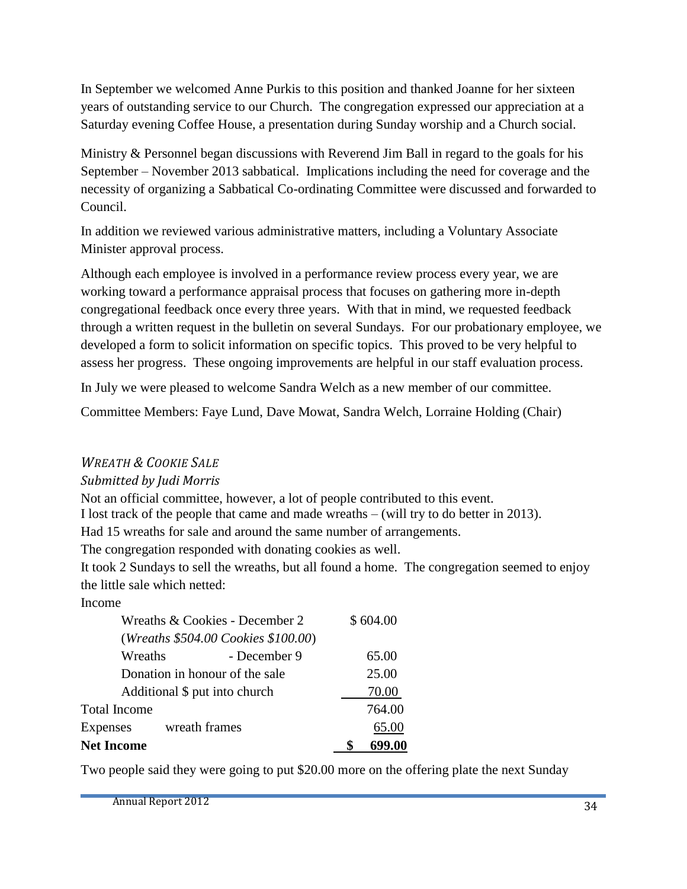In September we welcomed Anne Purkis to this position and thanked Joanne for her sixteen years of outstanding service to our Church. The congregation expressed our appreciation at a Saturday evening Coffee House, a presentation during Sunday worship and a Church social.

Ministry  $\&$  Personnel began discussions with Reverend Jim Ball in regard to the goals for his September – November 2013 sabbatical. Implications including the need for coverage and the necessity of organizing a Sabbatical Co-ordinating Committee were discussed and forwarded to Council.

In addition we reviewed various administrative matters, including a Voluntary Associate Minister approval process.

Although each employee is involved in a performance review process every year, we are working toward a performance appraisal process that focuses on gathering more in-depth congregational feedback once every three years. With that in mind, we requested feedback through a written request in the bulletin on several Sundays. For our probationary employee, we developed a form to solicit information on specific topics. This proved to be very helpful to assess her progress. These ongoing improvements are helpful in our staff evaluation process.

In July we were pleased to welcome Sandra Welch as a new member of our committee.

Committee Members: Faye Lund, Dave Mowat, Sandra Welch, Lorraine Holding (Chair)

#### *WREATH & COOKIE SALE*

#### *Submitted by Judi Morris*

Not an official committee, however, a lot of people contributed to this event.

I lost track of the people that came and made wreaths – (will try to do better in 2013).

Had 15 wreaths for sale and around the same number of arrangements.

The congregation responded with donating cookies as well.

It took 2 Sundays to sell the wreaths, but all found a home. The congregation seemed to enjoy the little sale which netted:

Income

| <b>Net Income</b>   |                                     | 699.00   |
|---------------------|-------------------------------------|----------|
| Expenses            | wreath frames                       | 65.00    |
| <b>Total Income</b> |                                     | 764.00   |
|                     | Additional \$ put into church       | 70.00    |
|                     | Donation in honour of the sale      | 25.00    |
| Wreaths             | - December 9                        | 65.00    |
|                     | (Wreaths \$504.00 Cookies \$100.00) |          |
|                     | Wreaths & Cookies - December 2      | \$604.00 |
|                     |                                     |          |

Two people said they were going to put \$20.00 more on the offering plate the next Sunday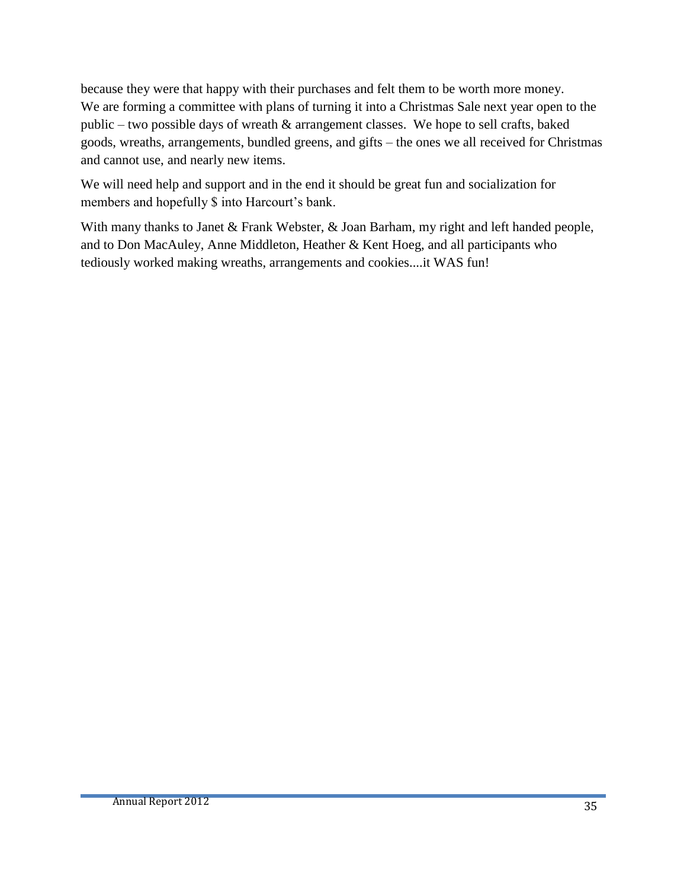because they were that happy with their purchases and felt them to be worth more money. We are forming a committee with plans of turning it into a Christmas Sale next year open to the public – two possible days of wreath & arrangement classes. We hope to sell crafts, baked goods, wreaths, arrangements, bundled greens, and gifts – the ones we all received for Christmas and cannot use, and nearly new items.

We will need help and support and in the end it should be great fun and socialization for members and hopefully \$ into Harcourt's bank.

With many thanks to Janet & Frank Webster, & Joan Barham, my right and left handed people, and to Don MacAuley, Anne Middleton, Heather & Kent Hoeg, and all participants who tediously worked making wreaths, arrangements and cookies....it WAS fun!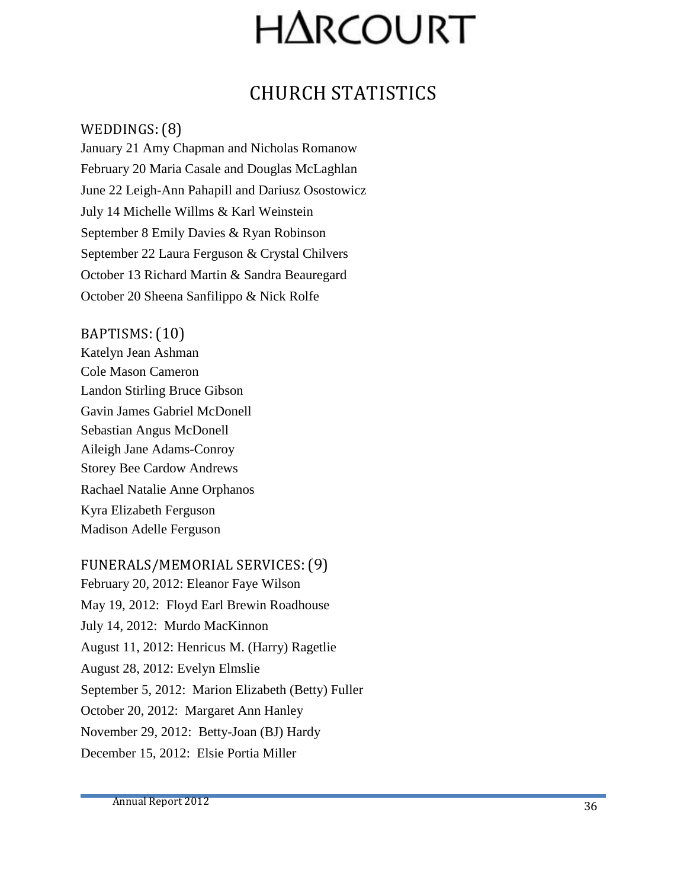# **HARCOURT**

# CHURCH STATISTICS

#### WEDDINGS:(8)

January 21 Amy Chapman and Nicholas Romanow February 20 Maria Casale and Douglas McLaghlan June 22 Leigh-Ann Pahapill and Dariusz Osostowicz July 14 Michelle Willms & Karl Weinstein September 8 Emily Davies & Ryan Robinson September 22 Laura Ferguson & Crystal Chilvers October 13 Richard Martin & Sandra Beauregard October 20 Sheena Sanfilippo & Nick Rolfe

#### BAPTISMS:(10)

Katelyn Jean Ashman Cole Mason Cameron Landon Stirling Bruce Gibson Gavin James Gabriel McDonell Sebastian Angus McDonell Aileigh Jane Adams-Conroy Storey Bee Cardow Andrews Rachael Natalie Anne Orphanos Kyra Elizabeth Ferguson Madison Adelle Ferguson

#### FUNERALS/MEMORIAL SERVICES:(9)

February 20, 2012: Eleanor Faye Wilson May 19, 2012: Floyd Earl Brewin Roadhouse July 14, 2012: Murdo MacKinnon August 11, 2012: Henricus M. (Harry) Ragetlie August 28, 2012: Evelyn Elmslie September 5, 2012: Marion Elizabeth (Betty) Fuller October 20, 2012: Margaret Ann Hanley November 29, 2012: Betty-Joan (BJ) Hardy December 15, 2012: Elsie Portia Miller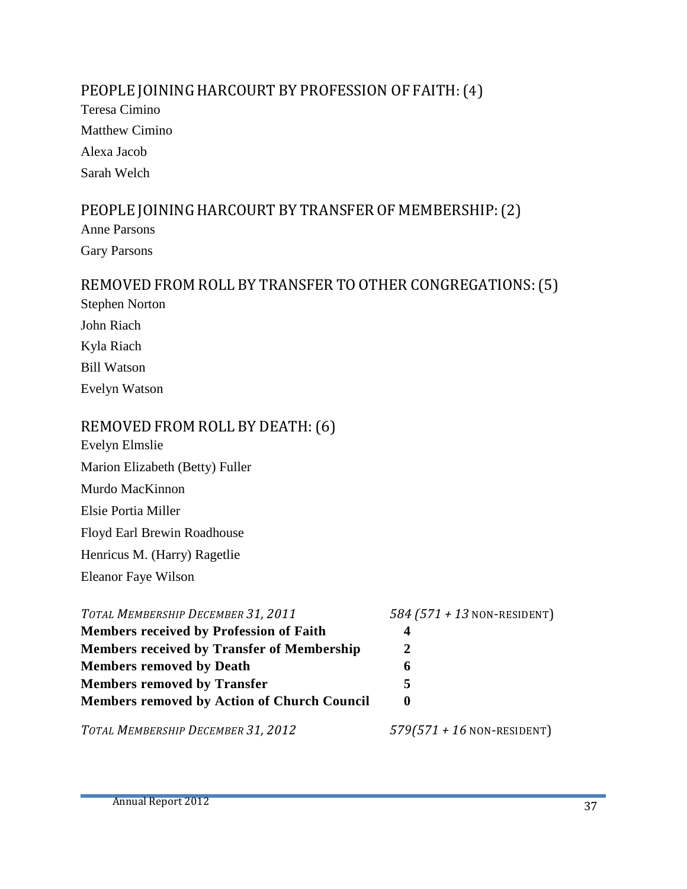#### PEOPLE JOINING HARCOURT BY PROFESSION OF FAITH: (4)

Teresa Cimino Matthew Cimino Alexa Jacob Sarah Welch

#### PEOPLE JOINING HARCOURT BY TRANSFER OF MEMBERSHIP: (2)

Anne Parsons Gary Parsons

## REMOVED FROM ROLL BY TRANSFER TO OTHER CONGREGATIONS:(5) Stephen Norton John Riach Kyla Riach

Bill Watson

Evelyn Watson

#### REMOVED FROM ROLL BY DEATH:(6)

- Evelyn Elmslie Marion Elizabeth (Betty) Fuller
- Murdo MacKinnon
- Elsie Portia Miller

Floyd Earl Brewin Roadhouse

Henricus M. (Harry) Ragetlie

Eleanor Faye Wilson

| TOTAL MEMBERSHIP DECEMBER 31, 2011                 | $584 (571 + 13$ NON-RESIDENT) |
|----------------------------------------------------|-------------------------------|
| <b>Members received by Profession of Faith</b>     | 4                             |
| <b>Members received by Transfer of Membership</b>  |                               |
| <b>Members removed by Death</b>                    | 6                             |
| <b>Members removed by Transfer</b>                 | $\blacktriangleright$         |
| <b>Members removed by Action of Church Council</b> |                               |
| TOTAL MEMBERSHIP DECEMBER 31, 2012                 | $579(571 + 16$ NON-RESIDENT)  |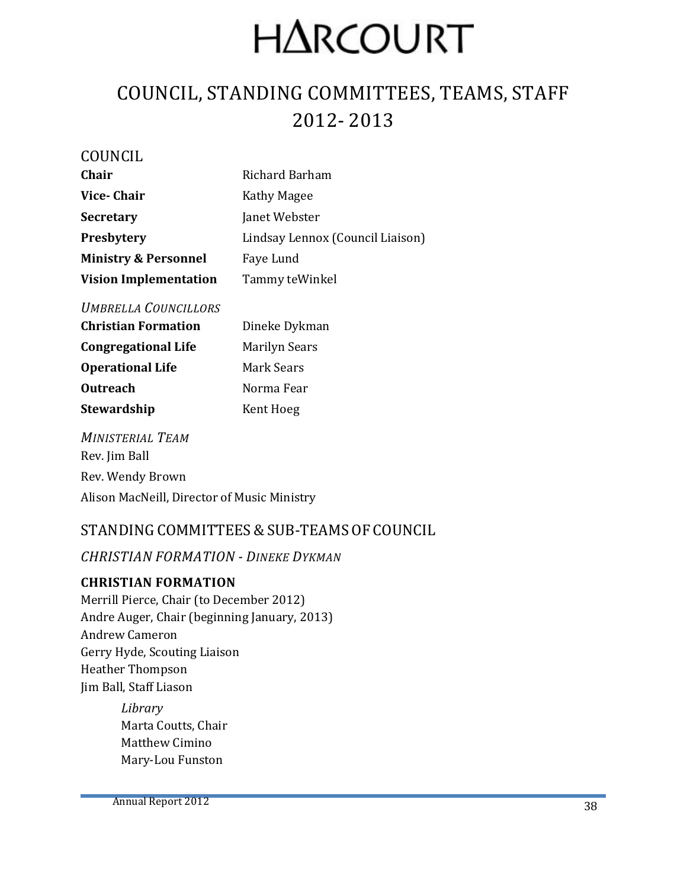# **HARCOURT**

# COUNCIL, STANDING COMMITTEES, TEAMS, STAFF 2012- 2013

| COUNCIL                         |                                  |
|---------------------------------|----------------------------------|
| Chair                           | Richard Barham                   |
| Vice-Chair                      | Kathy Magee                      |
| <b>Secretary</b>                | Janet Webster                    |
| Presbytery                      | Lindsay Lennox (Council Liaison) |
| <b>Ministry &amp; Personnel</b> | Faye Lund                        |
| <b>Vision Implementation</b>    | Tammy teWinkel                   |

#### *UMBRELLA COUNCILLORS*

| <b>Christian Formation</b> | Dineke Dykman        |
|----------------------------|----------------------|
| <b>Congregational Life</b> | <b>Marilyn Sears</b> |
| <b>Operational Life</b>    | Mark Sears           |
| <b>Outreach</b>            | Norma Fear           |
| <b>Stewardship</b>         | Kent Hoeg            |
|                            |                      |

*MINISTERIAL TEAM* Rev. Jim Ball Rev. Wendy Brown Alison MacNeill, Director of Music Ministry

#### STANDING COMMITTEES & SUB-TEAMS OF COUNCIL

#### *CHRISTIAN FORMATION - DINEKE DYKMAN*

#### **CHRISTIAN FORMATION**

Merrill Pierce, Chair (to December 2012) Andre Auger, Chair (beginning January, 2013) Andrew Cameron Gerry Hyde, Scouting Liaison Heather Thompson Jim Ball, Staff Liason

> *Library* Marta Coutts, Chair Matthew Cimino Mary-Lou Funston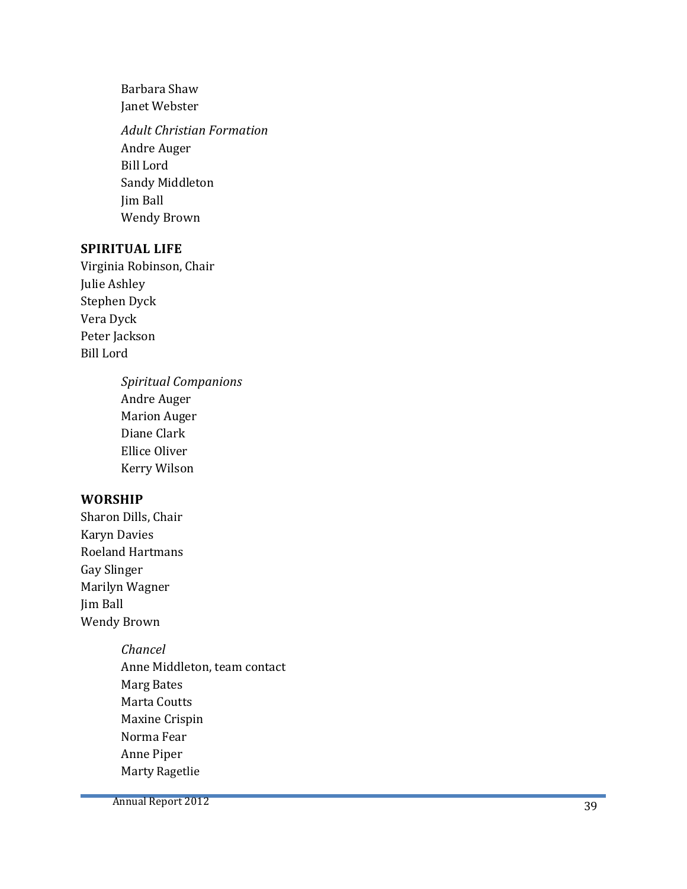Barbara Shaw Janet Webster

*Adult Christian Formation* Andre Auger Bill Lord Sandy Middleton Jim Ball Wendy Brown

#### **SPIRITUAL LIFE**

Virginia Robinson, Chair Julie Ashley Stephen Dyck Vera Dyck Peter Jackson Bill Lord

> *Spiritual Companions* Andre Auger Marion Auger Diane Clark Ellice Oliver Kerry Wilson

#### **WORSHIP**

- Sharon Dills, Chair Karyn Davies Roeland Hartmans Gay Slinger Marilyn Wagner Jim Ball Wendy Brown
	- *Chancel* Anne Middleton, team contact Marg Bates Marta Coutts Maxine Crispin Norma Fear Anne Piper Marty Ragetlie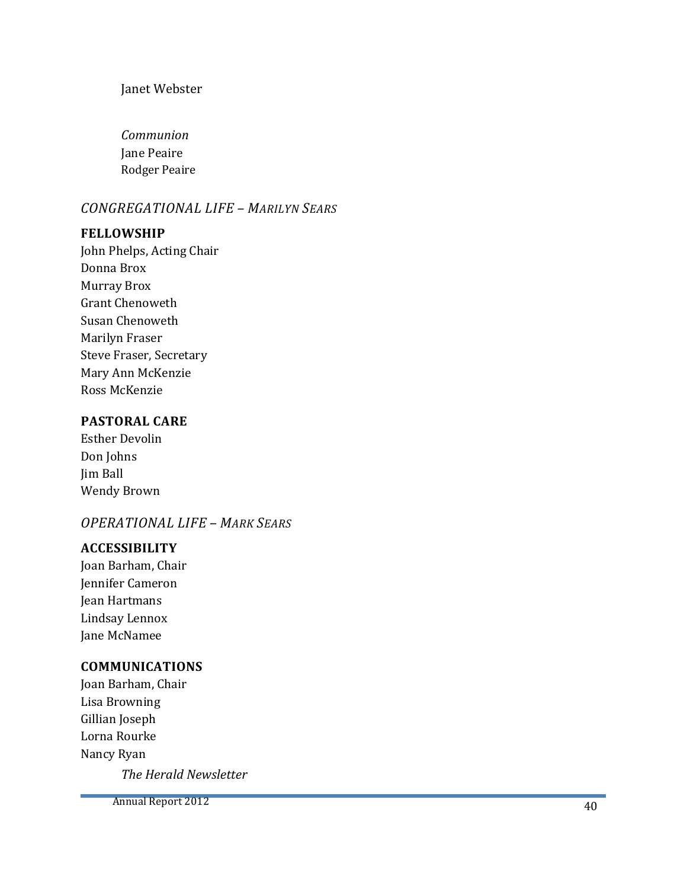#### Janet Webster

*Communion*  Jane Peaire Rodger Peaire

#### *CONGREGATIONAL LIFE – MARILYN SEARS*

#### **FELLOWSHIP**

John Phelps, Acting Chair Donna Brox Murray Brox Grant Chenoweth Susan Chenoweth Marilyn Fraser Steve Fraser, Secretary Mary Ann McKenzie Ross McKenzie

#### **PASTORAL CARE**

Esther Devolin Don Johns Jim Ball Wendy Brown

#### *OPERATIONAL LIFE – MARK SEARS*

#### **ACCESSIBILITY**

Joan Barham, Chair Jennifer Cameron Jean Hartmans Lindsay Lennox Jane McNamee

#### **COMMUNICATIONS**

Joan Barham, Chair Lisa Browning Gillian Joseph Lorna Rourke Nancy Ryan

*The Herald Newsletter*

Annual Report 2012 40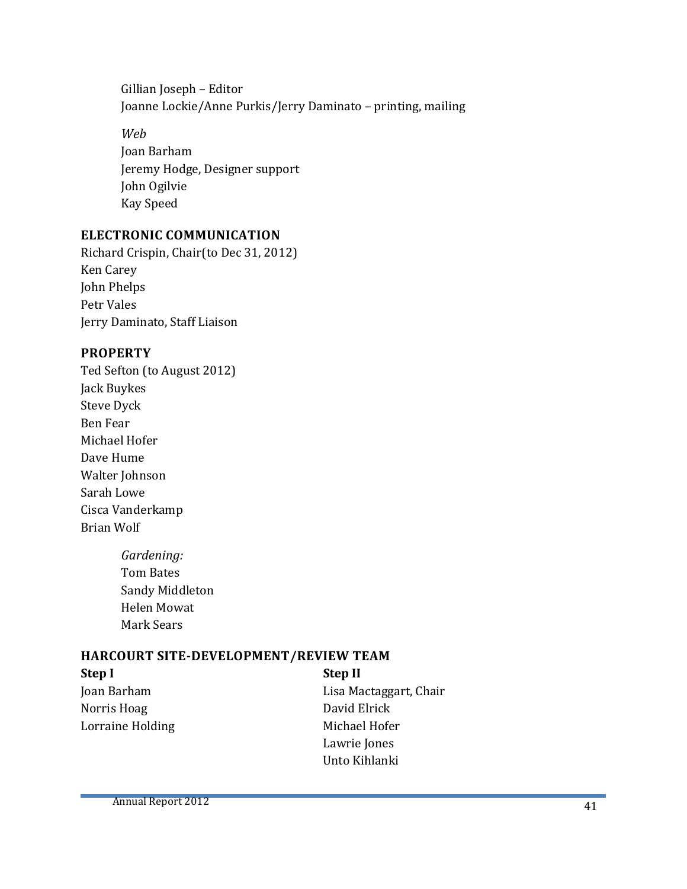Gillian Joseph – Editor Joanne Lockie/Anne Purkis/Jerry Daminato – printing, mailing

*Web* Joan Barham Jeremy Hodge, Designer support John Ogilvie Kay Speed

#### **ELECTRONIC COMMUNICATION**

Richard Crispin, Chair(to Dec 31, 2012) Ken Carey John Phelps Petr Vales Jerry Daminato, Staff Liaison

#### **PROPERTY**

- Ted Sefton (to August 2012) Jack Buykes Steve Dyck Ben Fear Michael Hofer Dave Hume Walter Johnson Sarah Lowe Cisca Vanderkamp Brian Wolf
	- *Gardening:* Tom Bates Sandy Middleton Helen Mowat Mark Sears

#### **HARCOURT SITE-DEVELOPMENT/REVIEW TEAM**

**Step I Step II** Norris Hoag David Elrick Lorraine Holding Michael Hofer

Joan Barham Lisa Mactaggart, Chair Lawrie Jones Unto Kihlanki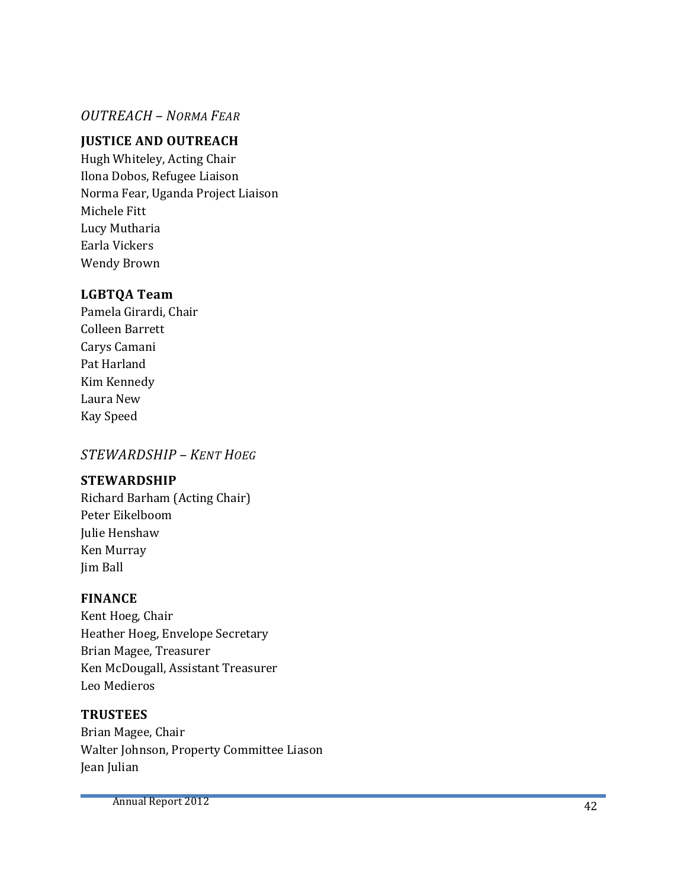#### *OUTREACH – NORMA FEAR*

#### **JUSTICE AND OUTREACH**

Hugh Whiteley, Acting Chair Ilona Dobos, Refugee Liaison Norma Fear, Uganda Project Liaison Michele Fitt Lucy Mutharia Earla Vickers Wendy Brown

#### **LGBTQA Team**

Pamela Girardi, Chair Colleen Barrett Carys Camani Pat Harland Kim Kennedy Laura New Kay Speed

#### *STEWARDSHIP – KENT HOEG*

#### **STEWARDSHIP**

Richard Barham (Acting Chair) Peter Eikelboom Julie Henshaw Ken Murray Jim Ball

#### **FINANCE**

Kent Hoeg, Chair Heather Hoeg, Envelope Secretary Brian Magee, Treasurer Ken McDougall , Assistant Treasurer Leo Medieros

#### **TRUSTEES**

Brian Magee, Chair Walter Johnson, Property Committee Liason Jean Julian

Annual Report 2012 **42**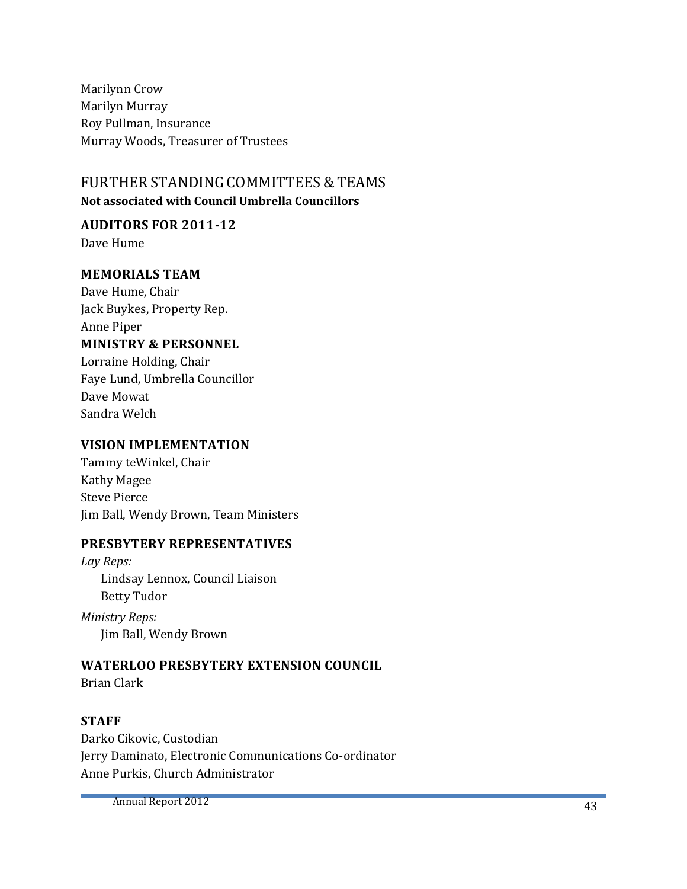Marilynn Crow Marilyn Murray Roy Pullman, Insurance Murray Woods, Treasurer of Trustees

#### FURTHER STANDING COMMITTEES& TEAMS  **Not associated with Council Umbrella Councillors**

# **AUDITORS FOR 2011-12**

Dave Hume

#### **MEMORIALS TEAM**

Dave Hume, Chair Jack Buykes, Property Rep. Anne Piper **MINISTRY & PERSONNEL** Lorraine Holding, Chair

Faye Lund, Umbrella Councillor Dave Mowat Sandra Welch

#### **VISION IMPLEMENTATION**

Tammy teWinkel, Chair Kathy Magee Steve Pierce Jim Ball, Wendy Brown, Team Ministers

#### **PRESBYTERY REPRESENTATIVES**

*Lay Reps:* Lindsay Lennox, Council Liaison Betty Tudor

*Ministry Reps:* Jim Ball, Wendy Brown

#### **WATERLOO PRESBYTERY EXTENSION COUNCIL**

Brian Clark

#### **STAFF**

Darko Cikovic, Custodian Jerry Daminato, Electronic Communications Co-ordinator Anne Purkis, Church Administrator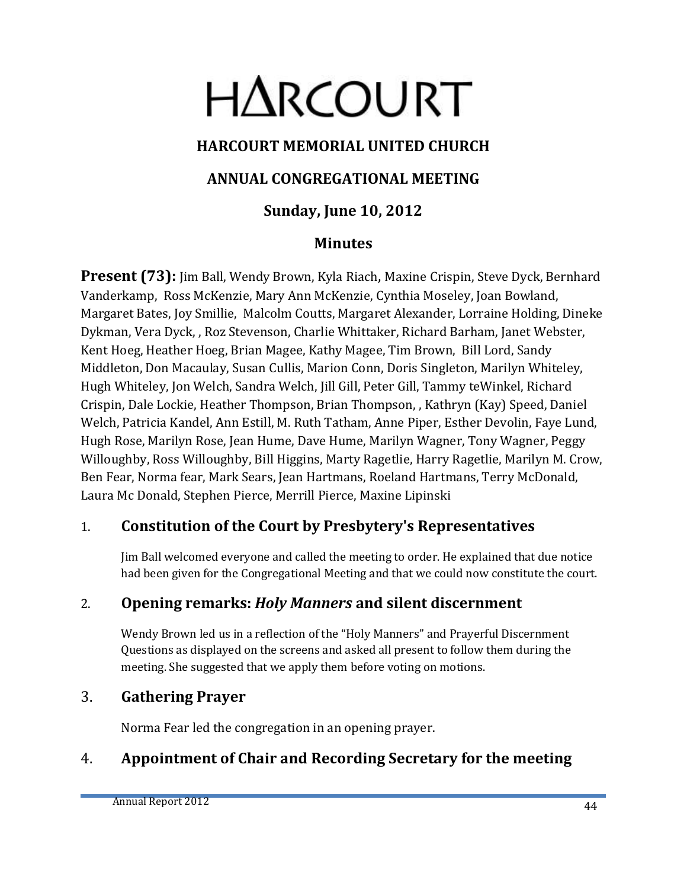# **HARCOURT**

### **HARCOURT MEMORIAL UNITED CHURCH**

#### **ANNUAL CONGREGATIONAL MEETING**

### **Sunday, June 10, 2012**

#### **Minutes**

**Present (73):** Jim Ball, Wendy Brown, Kyla Riach, Maxine Crispin, Steve Dyck, Bernhard Vanderkamp, Ross McKenzie, Mary Ann McKenzie, Cynthia Moseley, Joan Bowland, Margaret Bates, Joy Smillie, Malcolm Coutts, Margaret Alexander, Lorraine Holding, Dineke Dykman, Vera Dyck, , Roz Stevenson, Charlie Whittaker, Richard Barham, Janet Webster, Kent Hoeg, Heather Hoeg, Brian Magee, Kathy Magee, Tim Brown, Bill Lord, Sandy Middleton, Don Macaulay, Susan Cullis, Marion Conn, Doris Singleton, Marilyn Whiteley, Hugh Whiteley, Jon Welch, Sandra Welch, Jill Gill, Peter Gill, Tammy teWinkel, Richard Crispin, Dale Lockie, Heather Thompson, Brian Thompson, , Kathryn (Kay) Speed, Daniel Welch, Patricia Kandel, Ann Estill, M. Ruth Tatham, Anne Piper, Esther Devolin, Faye Lund, Hugh Rose, Marilyn Rose, Jean Hume, Dave Hume, Marilyn Wagner, Tony Wagner, Peggy Willoughby, Ross Willoughby, Bill Higgins, Marty Ragetlie, Harry Ragetlie, Marilyn M. Crow, Ben Fear, Norma fear, Mark Sears, Jean Hartmans, Roeland Hartmans, Terry McDonald, Laura Mc Donald, Stephen Pierce, Merrill Pierce, Maxine Lipinski

#### 1. **Constitution of the Court by Presbytery's Representatives**

Jim Ball welcomed everyone and called the meeting to order. He explained that due notice had been given for the Congregational Meeting and that we could now constitute the court.

### 2. **Opening remarks:** *Holy Manners* **and silent discernment**

Wendy Brown led us in a reflection of the "Holy Manners" and Prayerful Discernment Questions as displayed on the screens and asked all present to follow them during the meeting. She suggested that we apply them before voting on motions.

#### 3. **Gathering Prayer**

Norma Fear led the congregation in an opening prayer.

### 4. **Appointment of Chair and Recording Secretary for the meeting**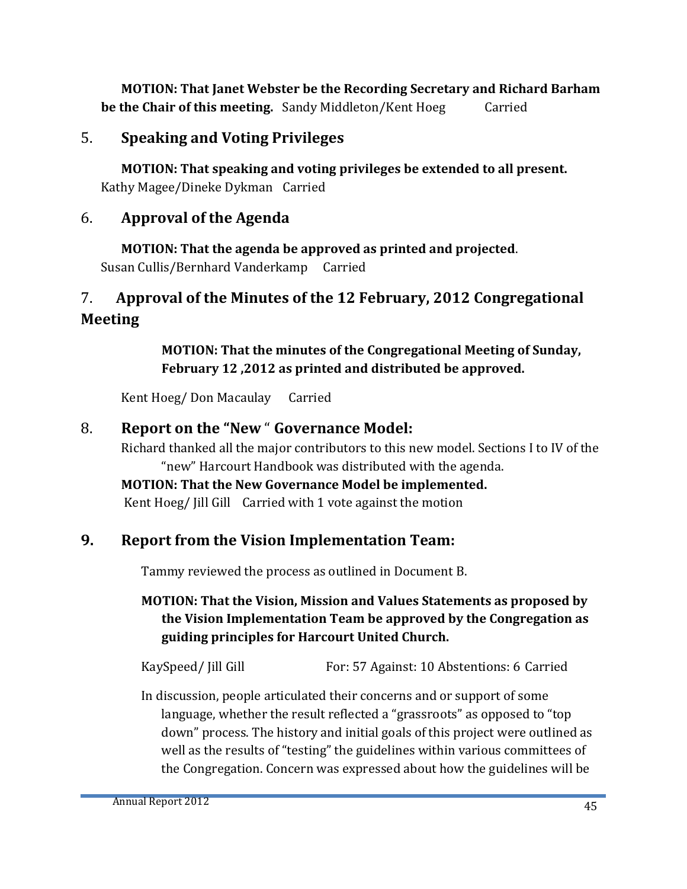**MOTION: That Janet Webster be the Recording Secretary and Richard Barham be the Chair of this meeting.** Sandy Middleton/Kent Hoeg Carried

#### 5. **Speaking and Voting Privileges**

**MOTION: That speaking and voting privileges be extended to all present.**  Kathy Magee/Dineke Dykman Carried

#### 6. **Approval of the Agenda**

**MOTION: That the agenda be approved as printed and projected**. Susan Cullis/Bernhard Vanderkamp Carried

### 7. **Approval of the Minutes of the 12 February, 2012 Congregational Meeting**

**MOTION: That the minutes of the Congregational Meeting of Sunday, February 12 ,2012 as printed and distributed be approved.**

Kent Hoeg/ Don MacaulayCarried

#### 8. **Report on the "New** " **Governance Model:**

Richard thanked all the major contributors to this new model. Sections I to IV of the "new" Harcourt Handbook was distributed with the agenda.

# **MOTION: That the New Governance Model be implemented.**

Kent Hoeg/ Jill Gill Carried with 1 vote against the motion

#### **9. Report from the Vision Implementation Team:**

Tammy reviewed the process as outlined in Document B.

#### **MOTION: That the Vision, Mission and Values Statements as proposed by the Vision Implementation Team be approved by the Congregation as guiding principles for Harcourt United Church.**

KaySpeed/ Jill Gill For: 57 Against: 10 Abstentions: 6 Carried

In discussion, people articulated their concerns and or support of some language, whether the result reflected a "grassroots" as opposed to "top down" process. The history and initial goals of this project were outlined as well as the results of "testing" the guidelines within various committees of the Congregation. Concern was expressed about how the guidelines will be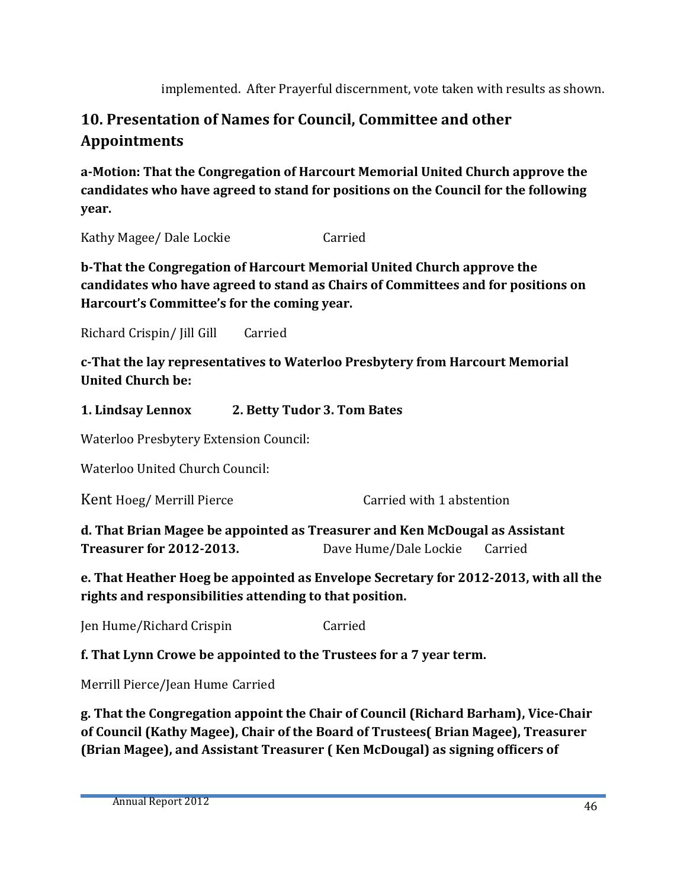implemented. After Prayerful discernment, vote taken with results as shown.

### **10. Presentation of Names for Council, Committee and other Appointments**

**a-Motion: That the Congregation of Harcourt Memorial United Church approve the candidates who have agreed to stand for positions on the Council for the following year.** 

Kathy Magee/ Dale Lockie Carried

**b-That the Congregation of Harcourt Memorial United Church approve the candidates who have agreed to stand as Chairs of Committees and for positions on Harcourt's Committee's for the coming year.**

Richard Crispin/ Jill Gill Carried

**c-That the lay representatives to Waterloo Presbytery from Harcourt Memorial United Church be:**

#### **1. Lindsay Lennox 2. Betty Tudor 3. Tom Bates**

Waterloo Presbytery Extension Council:

Waterloo United Church Council:

Kent Hoeg/ Merrill Pierce Carried with 1 abstention

**d. That Brian Magee be appointed as Treasurer and Ken McDougal as Assistant Treasurer for 2012-2013.** Dave Hume/Dale Lockie Carried

**e. That Heather Hoeg be appointed as Envelope Secretary for 2012-2013, with all the rights and responsibilities attending to that position.**

Jen Hume/Richard Crispin Carried

**f. That Lynn Crowe be appointed to the Trustees for a 7 year term.**

Merrill Pierce/Jean Hume Carried

**g. That the Congregation appoint the Chair of Council (Richard Barham), Vice-Chair of Council (Kathy Magee), Chair of the Board of Trustees( Brian Magee), Treasurer (Brian Magee), and Assistant Treasurer ( Ken McDougal) as signing officers of**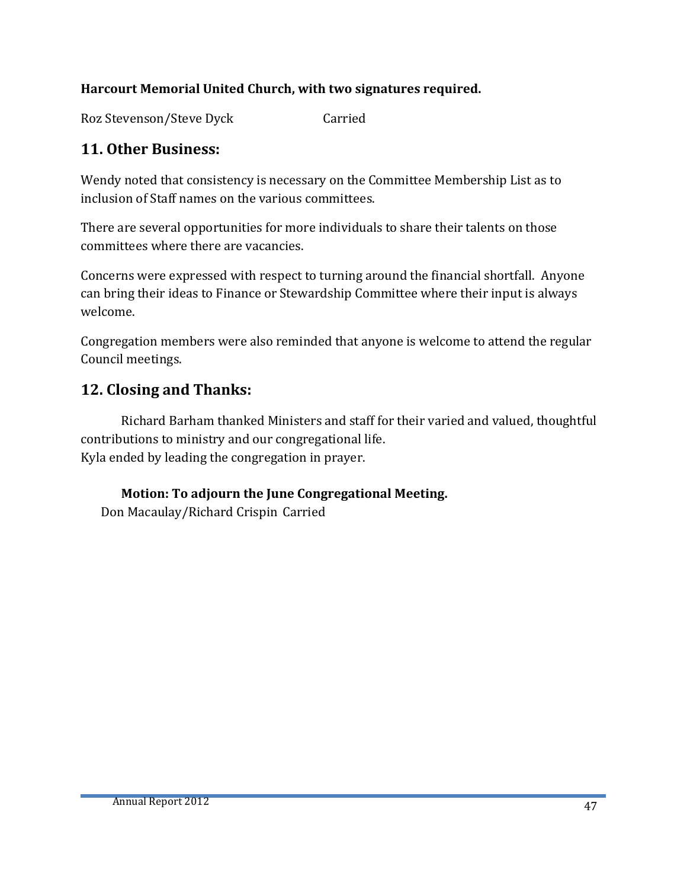#### **Harcourt Memorial United Church, with two signatures required.**

Roz Stevenson/Steve Dyck Carried

#### **11. Other Business:**

Wendy noted that consistency is necessary on the Committee Membership List as to inclusion of Staff names on the various committees.

There are several opportunities for more individuals to share their talents on those committees where there are vacancies.

Concerns were expressed with respect to turning around the financial shortfall. Anyone can bring their ideas to Finance or Stewardship Committee where their input is always welcome.

Congregation members were also reminded that anyone is welcome to attend the regular Council meetings.

#### **12. Closing and Thanks:**

Richard Barham thanked Ministers and staff for their varied and valued, thoughtful contributions to ministry and our congregational life. Kyla ended by leading the congregation in prayer.

**Motion: To adjourn the June Congregational Meeting.**

Don Macaulay/Richard Crispin Carried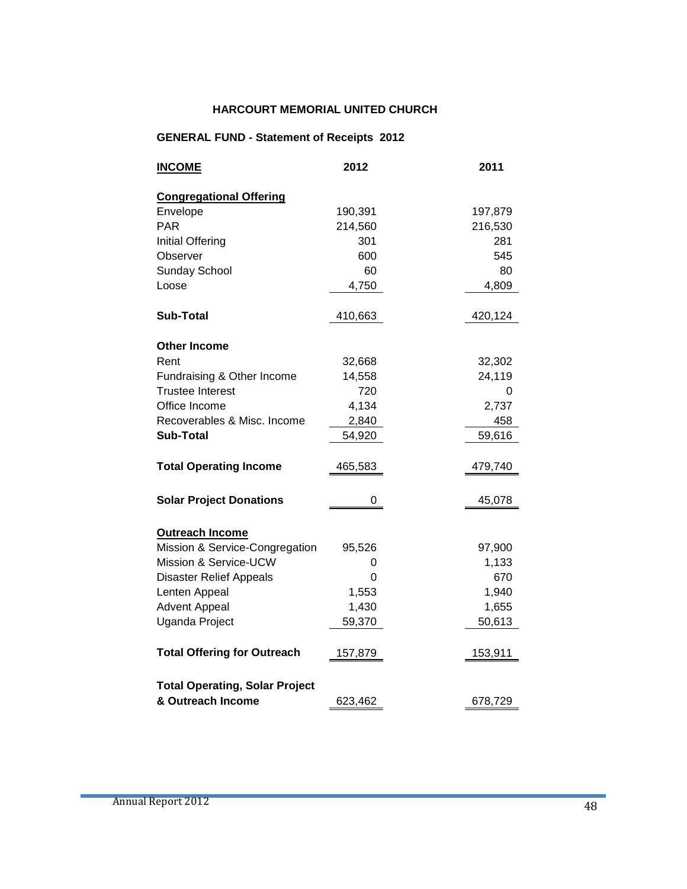#### **HARCOURT MEMORIAL UNITED CHURCH**

#### **GENERAL FUND - Statement of Receipts 2012**

| <b>INCOME</b>                         | 2012    | 2011    |
|---------------------------------------|---------|---------|
| <b>Congregational Offering</b>        |         |         |
| Envelope                              | 190,391 | 197,879 |
| <b>PAR</b>                            | 214,560 | 216,530 |
| <b>Initial Offering</b>               | 301     | 281     |
| Observer                              | 600     | 545     |
| <b>Sunday School</b>                  | 60      | 80      |
| Loose                                 | 4,750   | 4,809   |
| <b>Sub-Total</b>                      | 410,663 | 420,124 |
| <b>Other Income</b>                   |         |         |
| Rent                                  | 32,668  | 32,302  |
| Fundraising & Other Income            | 14,558  | 24,119  |
| <b>Trustee Interest</b>               | 720     | 0       |
| Office Income                         | 4,134   | 2,737   |
| Recoverables & Misc. Income           | 2,840   | 458     |
| <b>Sub-Total</b>                      | 54,920  | 59,616  |
| <b>Total Operating Income</b>         | 465,583 | 479,740 |
| <b>Solar Project Donations</b>        | 0       | 45,078  |
| <b>Outreach Income</b>                |         |         |
| Mission & Service-Congregation        | 95,526  | 97,900  |
| Mission & Service-UCW                 | 0       | 1,133   |
| <b>Disaster Relief Appeals</b>        | 0       | 670     |
| Lenten Appeal                         | 1,553   | 1,940   |
| <b>Advent Appeal</b>                  | 1,430   | 1,655   |
| Uganda Project                        | 59,370  | 50,613  |
| <b>Total Offering for Outreach</b>    | 157,879 | 153,911 |
| <b>Total Operating, Solar Project</b> |         |         |
| & Outreach Income                     | 623,462 | 678,729 |

÷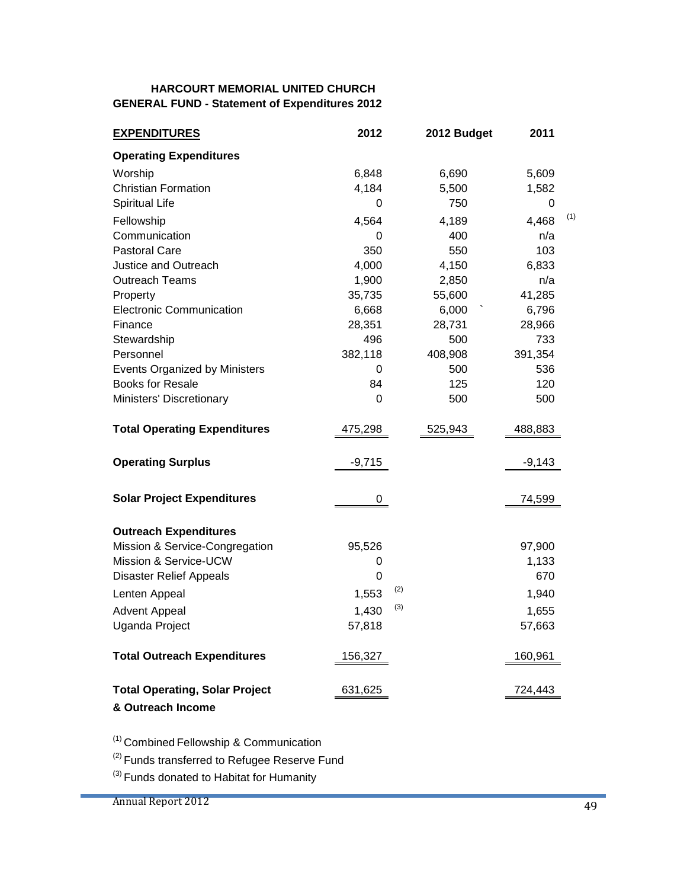#### **HARCOURT MEMORIAL UNITED CHURCH GENERAL FUND - Statement of Expenditures 2012**

| <b>EXPENDITURES</b>                                        | 2012        | 2012 Budget | 2011     |     |
|------------------------------------------------------------|-------------|-------------|----------|-----|
| <b>Operating Expenditures</b>                              |             |             |          |     |
| Worship                                                    | 6,848       | 6,690       | 5,609    |     |
| <b>Christian Formation</b>                                 | 4,184       | 5,500       | 1,582    |     |
| <b>Spiritual Life</b>                                      | 0           | 750         | 0        |     |
| Fellowship                                                 | 4,564       | 4,189       | 4,468    | (1) |
| Communication                                              | 0           | 400         | n/a      |     |
| <b>Pastoral Care</b>                                       | 350         | 550         | 103      |     |
| <b>Justice and Outreach</b>                                | 4,000       | 4,150       | 6,833    |     |
| <b>Outreach Teams</b>                                      | 1,900       | 2,850       | n/a      |     |
| Property                                                   | 35,735      | 55,600      | 41,285   |     |
| <b>Electronic Communication</b>                            | 6,668       | 6,000       | 6,796    |     |
| Finance                                                    | 28,351      | 28,731      | 28,966   |     |
| Stewardship                                                | 496         | 500         | 733      |     |
| Personnel                                                  | 382,118     | 408,908     | 391,354  |     |
| <b>Events Organized by Ministers</b>                       | 0           | 500         | 536      |     |
| <b>Books for Resale</b>                                    | 84          | 125         | 120      |     |
| Ministers' Discretionary                                   | 0           | 500         | 500      |     |
| <b>Total Operating Expenditures</b>                        | 475,298     | 525,943     | 488,883  |     |
| <b>Operating Surplus</b>                                   | $-9,715$    |             | $-9,143$ |     |
| <b>Solar Project Expenditures</b>                          | 0           |             | 74,599   |     |
| <b>Outreach Expenditures</b>                               |             |             |          |     |
| Mission & Service-Congregation                             | 95,526      |             | 97,900   |     |
| Mission & Service-UCW                                      | 0           |             | 1,133    |     |
| <b>Disaster Relief Appeals</b>                             | $\mathbf 0$ |             | 670      |     |
| Lenten Appeal                                              | 1,553       | (2)         | 1,940    |     |
| <b>Advent Appeal</b>                                       | 1,430       | (3)         | 1,655    |     |
| Uganda Project                                             | 57,818      |             | 57,663   |     |
| <b>Total Outreach Expenditures</b>                         | 156,327     |             | 160,961  |     |
| <b>Total Operating, Solar Project</b><br>& Outreach Income | 631,625     |             | 724,443  |     |

(1) Combined Fellowship & Communication

<sup>(2)</sup> Funds transferred to Refugee Reserve Fund

 $(3)$  Funds donated to Habitat for Humanity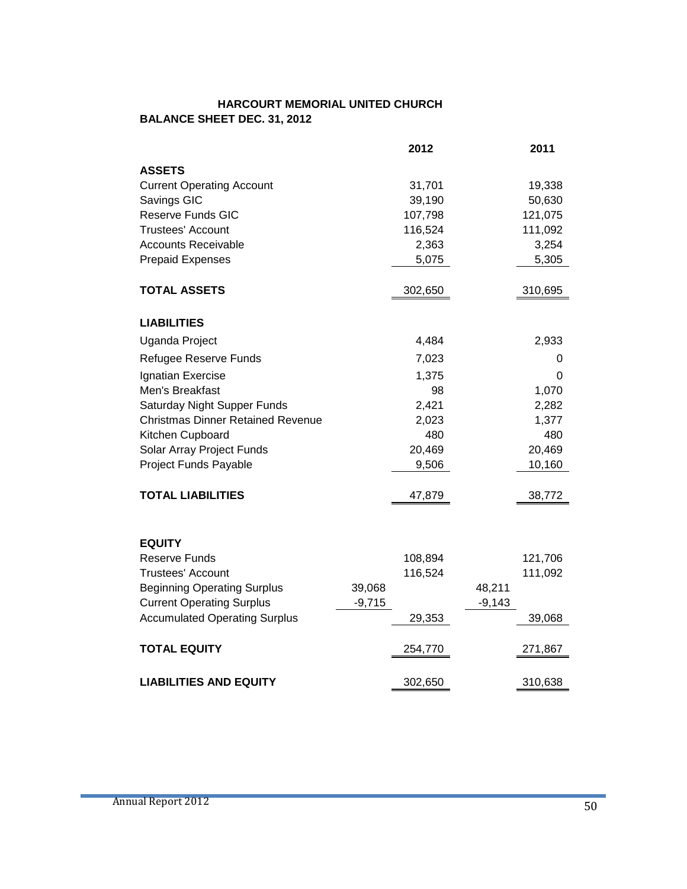#### **HARCOURT MEMORIAL UNITED CHURCH BALANCE SHEET DEC. 31, 2012**

|                                          |          | 2012    |          | 2011    |
|------------------------------------------|----------|---------|----------|---------|
| <b>ASSETS</b>                            |          |         |          |         |
| <b>Current Operating Account</b>         |          | 31,701  |          | 19,338  |
| Savings GIC                              |          | 39,190  |          | 50,630  |
| <b>Reserve Funds GIC</b>                 |          | 107,798 |          | 121,075 |
| <b>Trustees' Account</b>                 |          | 116,524 |          | 111,092 |
| <b>Accounts Receivable</b>               |          | 2,363   |          | 3,254   |
| <b>Prepaid Expenses</b>                  |          | 5,075   |          | 5,305   |
|                                          |          |         |          |         |
| <b>TOTAL ASSETS</b>                      |          | 302,650 |          | 310,695 |
| <b>LIABILITIES</b>                       |          |         |          |         |
| Uganda Project                           |          | 4,484   |          | 2,933   |
| Refugee Reserve Funds                    |          | 7,023   |          | 0       |
| Ignatian Exercise                        |          | 1,375   |          | 0       |
| Men's Breakfast                          |          | 98      |          | 1,070   |
| Saturday Night Supper Funds              |          | 2,421   |          | 2,282   |
| <b>Christmas Dinner Retained Revenue</b> |          | 2,023   |          | 1,377   |
| Kitchen Cupboard                         |          | 480     |          | 480     |
| Solar Array Project Funds                |          | 20,469  |          | 20,469  |
| Project Funds Payable                    |          | 9,506   |          | 10,160  |
|                                          |          |         |          |         |
| <b>TOTAL LIABILITIES</b>                 |          | 47,879  |          | 38,772  |
|                                          |          |         |          |         |
| <b>EQUITY</b>                            |          |         |          |         |
| <b>Reserve Funds</b>                     |          | 108,894 |          | 121,706 |
| <b>Trustees' Account</b>                 |          | 116,524 |          | 111,092 |
| <b>Beginning Operating Surplus</b>       | 39,068   |         | 48,211   |         |
| <b>Current Operating Surplus</b>         | $-9,715$ |         | $-9,143$ |         |
| <b>Accumulated Operating Surplus</b>     |          | 29,353  |          | 39,068  |
| <b>TOTAL EQUITY</b>                      |          |         |          |         |
|                                          |          | 254,770 |          | 271,867 |
| <b>LIABILITIES AND EQUITY</b>            |          | 302,650 |          | 310,638 |

٠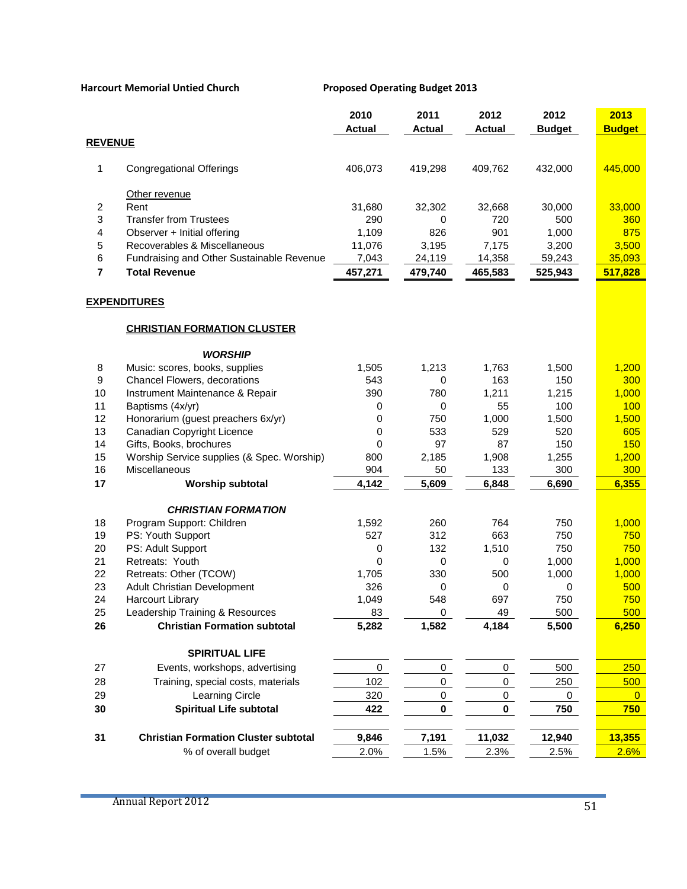|                  |                                             | 2010<br><b>Actual</b> | 2011<br><b>Actual</b> | 2012<br><b>Actual</b> | 2012<br><b>Budget</b> | 2013<br><b>Budget</b> |
|------------------|---------------------------------------------|-----------------------|-----------------------|-----------------------|-----------------------|-----------------------|
| <b>REVENUE</b>   |                                             |                       |                       |                       |                       |                       |
| 1                | <b>Congregational Offerings</b>             | 406,073               | 419,298               | 409,762               | 432,000               | 445,000               |
|                  | Other revenue                               |                       |                       |                       |                       |                       |
| 2                | Rent                                        | 31,680                | 32,302                | 32,668                | 30,000                | 33,000                |
| 3                | <b>Transfer from Trustees</b>               | 290                   | 0                     | 720                   | 500                   | 360                   |
| 4                | Observer + Initial offering                 | 1,109                 | 826                   | 901                   | 1,000                 | 875                   |
| 5                | Recoverables & Miscellaneous                | 11,076                | 3,195                 | 7,175                 | 3,200                 | 3,500                 |
| 6                | Fundraising and Other Sustainable Revenue   | 7,043                 | 24,119                | 14,358                | 59,243                | 35,093                |
| $\overline{7}$   | <b>Total Revenue</b>                        | 457,271               | 479,740               | 465,583               | 525,943               | 517,828               |
|                  | <b>EXPENDITURES</b>                         |                       |                       |                       |                       |                       |
|                  | <b>CHRISTIAN FORMATION CLUSTER</b>          |                       |                       |                       |                       |                       |
|                  | <b>WORSHIP</b>                              |                       |                       |                       |                       |                       |
| 8                | Music: scores, books, supplies              | 1,505                 | 1,213                 | 1,763                 | 1,500                 | 1,200                 |
| $\boldsymbol{9}$ | Chancel Flowers, decorations                | 543                   | 0                     | 163                   | 150                   | 300                   |
| 10               | Instrument Maintenance & Repair             | 390                   | 780                   | 1,211                 | 1,215                 | 1,000                 |
| 11               | Baptisms (4x/yr)                            | 0                     | 0                     | 55                    | 100                   | 100                   |
| 12               | Honorarium (guest preachers 6x/yr)          | 0                     | 750                   | 1,000                 | 1,500                 | 1,500                 |
| 13               | Canadian Copyright Licence                  | 0                     | 533                   | 529                   | 520                   | 605                   |
| 14               | Gifts, Books, brochures                     | 0                     | 97                    | 87                    | 150                   | 150                   |
| 15               | Worship Service supplies (& Spec. Worship)  | 800                   | 2,185                 | 1,908                 | 1,255                 | 1,200                 |
| 16               | Miscellaneous                               | 904                   | 50                    | 133                   | 300                   | 300                   |
| 17               | <b>Worship subtotal</b>                     | 4,142                 | 5,609                 | 6,848                 | 6,690                 | 6,355                 |
|                  | <b>CHRISTIAN FORMATION</b>                  |                       |                       |                       |                       |                       |
| 18               | Program Support: Children                   | 1,592                 | 260                   | 764                   | 750                   | 1,000                 |
| 19               | PS: Youth Support                           | 527                   | 312                   | 663                   | 750                   | 750                   |
| 20               | PS: Adult Support                           | 0                     | 132                   | 1,510                 | 750                   | 750                   |
| 21               | Retreats: Youth                             | 0                     | $\mathbf 0$           | 0                     | 1,000                 | 1,000                 |
| 22               | Retreats: Other (TCOW)                      | 1,705                 | 330                   | 500                   | 1,000                 | 1,000                 |
| 23               | <b>Adult Christian Development</b>          | 326                   | 0                     | 0                     | 0                     | 500                   |
| 24               | <b>Harcourt Library</b>                     | 1,049                 | 548                   | 697                   | 750                   | 750                   |
| 25               | Leadership Training & Resources             | 83                    | 0                     | 49                    | 500                   | 500                   |
| 26               | <b>Christian Formation subtotal</b>         | 5,282                 | 1,582                 | 4,184                 | 5,500                 | 6,250                 |
|                  | <b>SPIRITUAL LIFE</b>                       |                       |                       |                       |                       |                       |
| 27               | Events, workshops, advertising              | $\mathbf 0$           | 0                     | $\mathsf{O}\xspace$   | 500                   | 250                   |
| 28               | Training, special costs, materials          | 102                   | 0                     | 0                     | 250                   | 500                   |
| 29               | Learning Circle                             | 320                   | 0                     | 0                     | 0                     | $\overline{0}$        |
| 30               | <b>Spiritual Life subtotal</b>              | 422                   | 0                     | 0                     | 750                   | 750                   |
| 31               | <b>Christian Formation Cluster subtotal</b> | 9,846                 | 7,191                 | 11,032                | 12,940                | 13,355                |
|                  | % of overall budget                         | 2.0%                  | 1.5%                  | 2.3%                  | 2.5%                  | 2.6%                  |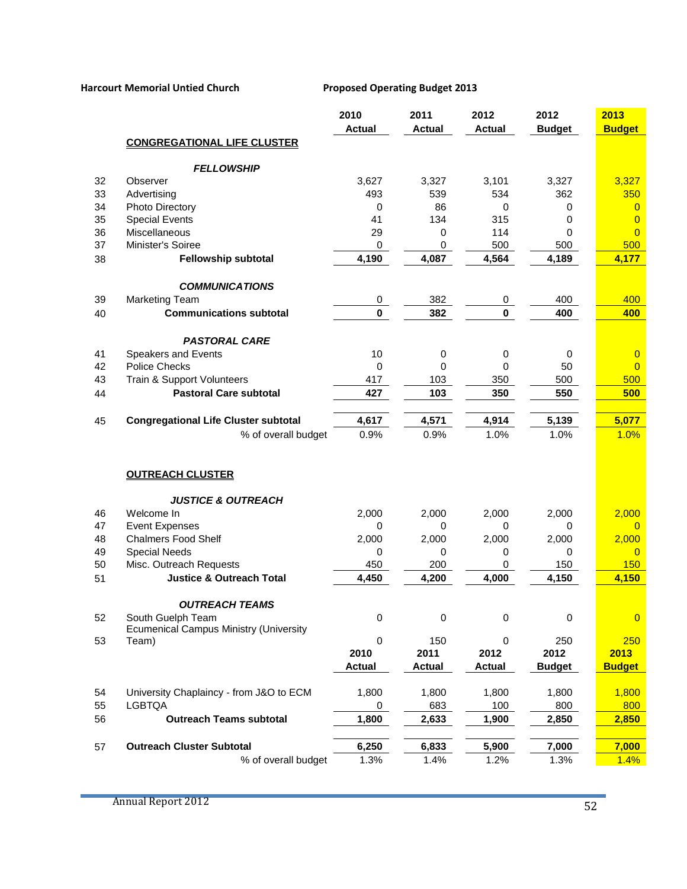|    |                                               | 2010          | 2011          | 2012           | 2012          | 2013           |
|----|-----------------------------------------------|---------------|---------------|----------------|---------------|----------------|
|    |                                               | <b>Actual</b> | <b>Actual</b> | <b>Actual</b>  | <b>Budget</b> | <b>Budget</b>  |
|    | <b>CONGREGATIONAL LIFE CLUSTER</b>            |               |               |                |               |                |
|    | <b>FELLOWSHIP</b>                             |               |               |                |               |                |
| 32 | Observer                                      | 3,627         | 3,327         | 3,101          | 3,327         | 3,327          |
| 33 | Advertising                                   | 493           | 539           | 534            | 362           | 350            |
| 34 | Photo Directory                               | 0             | 86            | $\Omega$       | 0             | $\overline{0}$ |
| 35 | <b>Special Events</b>                         | 41            | 134           | 315            | 0             | $\overline{0}$ |
| 36 | Miscellaneous                                 | 29            | 0             | 114            | 0             | $\overline{0}$ |
| 37 | Minister's Soiree                             | 0             | $\mathbf 0$   | 500            | 500           | 500            |
| 38 | <b>Fellowship subtotal</b>                    | 4,190         | 4,087         | 4,564          | 4,189         | 4,177          |
|    |                                               |               |               |                |               |                |
|    | <b>COMMUNICATIONS</b>                         |               |               |                |               |                |
| 39 | <b>Marketing Team</b>                         | 0             | 382           | $\overline{0}$ | 400           | 400            |
| 40 | <b>Communications subtotal</b>                | $\mathbf 0$   | 382           | $\mathbf 0$    | 400           | 400            |
|    |                                               |               |               |                |               |                |
|    | <b>PASTORAL CARE</b>                          |               |               |                |               |                |
| 41 | <b>Speakers and Events</b>                    | 10            | $\,0\,$       | 0              | $\pmb{0}$     | $\overline{0}$ |
| 42 | <b>Police Checks</b>                          | 0             | 0             | 0              | 50            | $\overline{0}$ |
| 43 | Train & Support Volunteers                    | 417           | 103           | 350            | 500           | 500            |
| 44 | <b>Pastoral Care subtotal</b>                 | 427           | 103           | 350            | 550           | 500            |
| 45 | <b>Congregational Life Cluster subtotal</b>   | 4,617         | 4,571         | 4,914          | 5,139         | 5,077          |
|    | % of overall budget                           | 0.9%          | 0.9%          | 1.0%           | 1.0%          | 1.0%           |
|    |                                               |               |               |                |               |                |
|    |                                               |               |               |                |               |                |
|    | <b>OUTREACH CLUSTER</b>                       |               |               |                |               |                |
|    | <b>JUSTICE &amp; OUTREACH</b>                 |               |               |                |               |                |
| 46 | Welcome In                                    | 2,000         | 2,000         | 2,000          | 2,000         | 2,000          |
| 47 | <b>Event Expenses</b>                         | 0             | 0             | 0              | 0             | $\mathbf{0}$   |
| 48 | <b>Chalmers Food Shelf</b>                    | 2,000         | 2,000         | 2,000          | 2,000         | 2,000          |
| 49 | <b>Special Needs</b>                          | 0             | 0             | 0              | 0             | $\overline{0}$ |
| 50 | Misc. Outreach Requests                       | 450           | 200           | 0              | 150           | 150            |
| 51 | <b>Justice &amp; Outreach Total</b>           | 4,450         | 4,200         | 4,000          | 4,150         | 4,150          |
|    |                                               |               |               |                |               |                |
|    | <b>OUTREACH TEAMS</b>                         |               |               |                |               |                |
| 52 | South Guelph Team                             | 0             | 0             | 0              | $\mathbf 0$   | $\overline{0}$ |
|    | <b>Ecumenical Campus Ministry (University</b> |               |               |                |               |                |
| 53 | Team)                                         | 0             | 150           | 0              | 250           | 250            |
|    |                                               | 2010          | 2011          | 2012           | 2012          | 2013           |
|    |                                               | <b>Actual</b> | <b>Actual</b> | <b>Actual</b>  | <b>Budget</b> | <b>Budget</b>  |
| 54 | University Chaplaincy - from J&O to ECM       | 1,800         | 1,800         | 1,800          | 1,800         | 1,800          |
| 55 | <b>LGBTQA</b>                                 | 0             | 683           | 100            | 800           | 800            |
| 56 | <b>Outreach Teams subtotal</b>                | 1,800         | 2,633         | 1,900          | 2,850         | 2,850          |
|    |                                               |               |               |                |               |                |
| 57 | <b>Outreach Cluster Subtotal</b>              | 6,250         | 6,833         | 5,900          | 7,000         | 7,000          |
|    | % of overall budget                           | 1.3%          | 1.4%          | 1.2%           | 1.3%          | 1.4%           |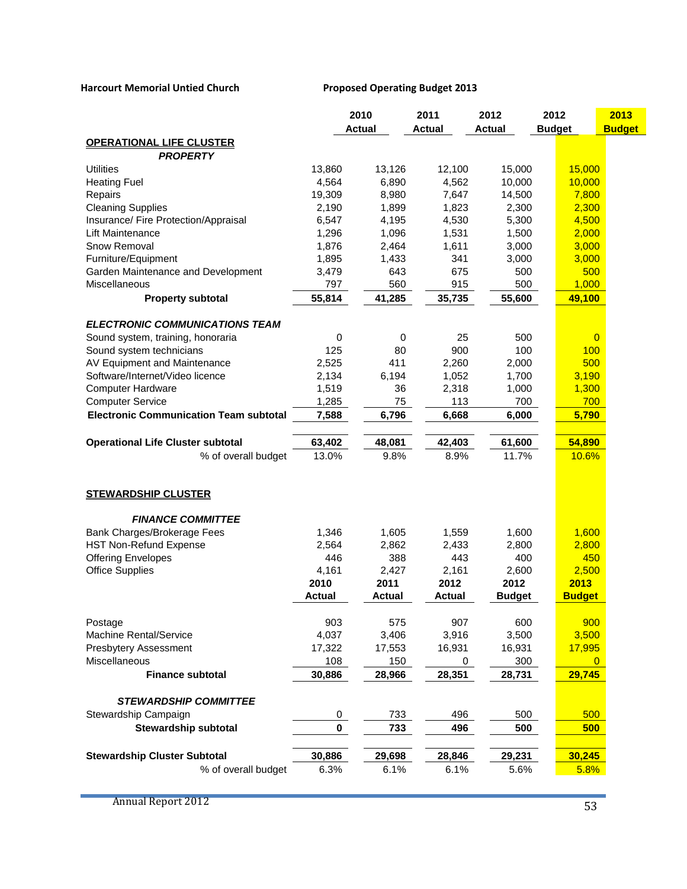|                                               |             | 2010          | 2011          | 2012          | 2012          | 2013           |
|-----------------------------------------------|-------------|---------------|---------------|---------------|---------------|----------------|
|                                               |             | <b>Actual</b> | <b>Actual</b> | <b>Actual</b> | <b>Budget</b> | <b>Budget</b>  |
| <b>OPERATIONAL LIFE CLUSTER</b>               |             |               |               |               |               |                |
| <b>PROPERTY</b>                               |             |               |               |               |               |                |
| <b>Utilities</b>                              | 13,860      | 13,126        | 12,100        | 15,000        | 15,000        |                |
| <b>Heating Fuel</b>                           | 4,564       | 6,890         | 4,562         | 10,000        | 10,000        |                |
| Repairs                                       | 19,309      | 8,980         | 7,647         | 14,500        | 7,800         |                |
| <b>Cleaning Supplies</b>                      | 2,190       | 1,899         | 1,823         | 2,300         | 2,300         |                |
| Insurance/ Fire Protection/Appraisal          | 6,547       | 4,195         | 4,530         | 5,300         | 4,500         |                |
| <b>Lift Maintenance</b>                       | 1,296       | 1,096         | 1,531         | 1,500         | 2,000         |                |
| Snow Removal                                  | 1,876       | 2,464         | 1,611         | 3,000         | 3,000         |                |
| Furniture/Equipment                           | 1,895       | 1,433         | 341           | 3,000         | 3,000         |                |
| Garden Maintenance and Development            | 3,479       | 643           | 675           | 500           | 500           |                |
| Miscellaneous                                 | 797         | 560           | 915           | 500           | 1,000         |                |
| <b>Property subtotal</b>                      | 55,814      | 41,285        | 35,735        | 55,600        | 49,100        |                |
| <b>ELECTRONIC COMMUNICATIONS TEAM</b>         |             |               |               |               |               |                |
| Sound system, training, honoraria             | 0           | 0             | 25            | 500           |               | $\overline{0}$ |
| Sound system technicians                      | 125         | 80            | 900           | 100           | 100           |                |
| AV Equipment and Maintenance                  | 2,525       | 411           | 2,260         | 2,000         | 500           |                |
| Software/Internet/Video licence               | 2,134       | 6,194         | 1,052         | 1,700         | 3,190         |                |
| <b>Computer Hardware</b>                      | 1,519       | 36            | 2,318         | 1,000         | 1,300         |                |
| <b>Computer Service</b>                       | 1,285       | 75            | 113           | 700           | 700           |                |
| <b>Electronic Communication Team subtotal</b> | 7,588       | 6,796         | 6,668         | 6,000         | 5,790         |                |
|                                               |             |               |               |               |               |                |
| <b>Operational Life Cluster subtotal</b>      | 63,402      | 48,081        | 42,403        | 61,600        | 54,890        |                |
| % of overall budget                           | 13.0%       | 9.8%          | 8.9%          | 11.7%         | 10.6%         |                |
|                                               |             |               |               |               |               |                |
| <b>STEWARDSHIP CLUSTER</b>                    |             |               |               |               |               |                |
| <b>FINANCE COMMITTEE</b>                      |             |               |               |               |               |                |
| Bank Charges/Brokerage Fees                   | 1,346       | 1,605         | 1,559         | 1,600         | 1,600         |                |
| <b>HST Non-Refund Expense</b>                 | 2,564       | 2,862         | 2,433         | 2,800         | 2,800         |                |
| <b>Offering Envelopes</b>                     | 446         | 388           | 443           | 400           | 450           |                |
| <b>Office Supplies</b>                        | 4,161       | 2,427         | 2,161         | 2,600         | 2,500         |                |
|                                               | 2010        | 2011          | 2012          | 2012          | 2013          |                |
|                                               | Actual      | <b>Actual</b> | Actual        | <b>Budget</b> | <b>Budget</b> |                |
| Postage                                       | 903         | 575           | 907           | 600           | 900           |                |
| Machine Rental/Service                        | 4,037       | 3,406         | 3,916         | 3,500         | 3,500         |                |
| Presbytery Assessment                         | 17,322      | 17,553        | 16,931        | 16,931        | 17,995        |                |
| Miscellaneous                                 | 108         | 150           | 0             | 300           |               | $\mathbf{0}$   |
| <b>Finance subtotal</b>                       | 30,886      | 28,966        | 28,351        | 28,731        | 29,745        |                |
|                                               |             |               |               |               |               |                |
| <b>STEWARDSHIP COMMITTEE</b>                  |             |               |               |               |               |                |
| Stewardship Campaign                          | 0           | 733           | 496           | 500           | 500           |                |
| <b>Stewardship subtotal</b>                   | $\mathbf 0$ | 733           | 496           | 500           | 500           |                |
| <b>Stewardship Cluster Subtotal</b>           | 30,886      | 29,698        | 28,846        | 29,231        | 30,245        |                |
| % of overall budget                           | 6.3%        | 6.1%          | 6.1%          | 5.6%          | 5.8%          |                |